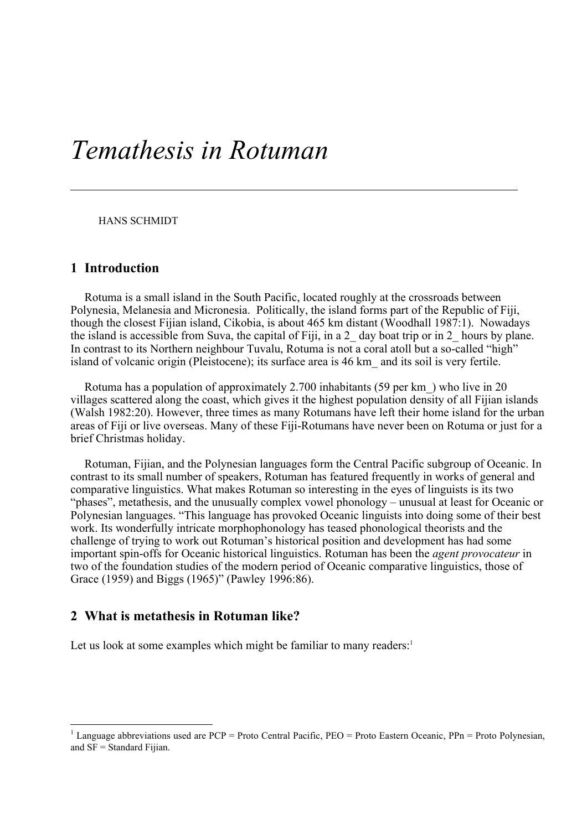# *Temathesis in Rotuman*

HANS SCHMIDT

### 1 Introduction

Rotuma is a small island in the South Pacific, located roughly at the crossroads between Polynesia, Melanesia and Micronesia. Politically, the island forms part of the Republic of Fiji, though the closest Fijian island, Cikobia, is about 465 km distant (Woodhall 1987:1). Nowadays the island is accessible from Suva, the capital of Fiji, in a 2\_ day boat trip or in 2\_ hours by plane. In contrast to its Northern neighbour Tuvalu, Rotuma is not a coral atoll but a so-called "high" island of volcanic origin (Pleistocene); its surface area is 46 km\_ and its soil is very fertile.

Rotuma has a population of approximately 2.700 inhabitants (59 per km\_) who live in 20 villages scattered along the coast, which gives it the highest population density of all Fijian islands (Walsh 1982:20). However, three times as many Rotumans have left their home island for the urban areas of Fiji or live overseas. Many of these Fiji-Rotumans have never been on Rotuma or just for a brief Christmas holiday.

Rotuman, Fijian, and the Polynesian languages form the Central Pacific subgroup of Oceanic. In contrast to its small number of speakers, Rotuman has featured frequently in works of general and comparative linguistics. What makes Rotuman so interesting in the eyes of linguists is its two "phases", metathesis, and the unusually complex vowel phonology – unusual at least for Oceanic or Polynesian languages. "This language has provoked Oceanic linguists into doing some of their best work. Its wonderfully intricate morphophonology has teased phonological theorists and the challenge of trying to work out Rotuman's historical position and development has had some important spin-offs for Oceanic historical linguistics. Rotuman has been the *agent provocateur* in two of the foundation studies of the modern period of Oceanic comparative linguistics, those of Grace (1959) and Biggs (1965)" (Pawley 1996:86).

### 2 What is metathesis in Rotuman like?

Let us look at some examples which might be familiar to many readers:<sup>1</sup>

<sup>&</sup>lt;sup>1</sup> Language abbreviations used are PCP = Proto Central Pacific, PEO = Proto Eastern Oceanic, PPn = Proto Polynesian, and  $SF = Standard Fijian$ .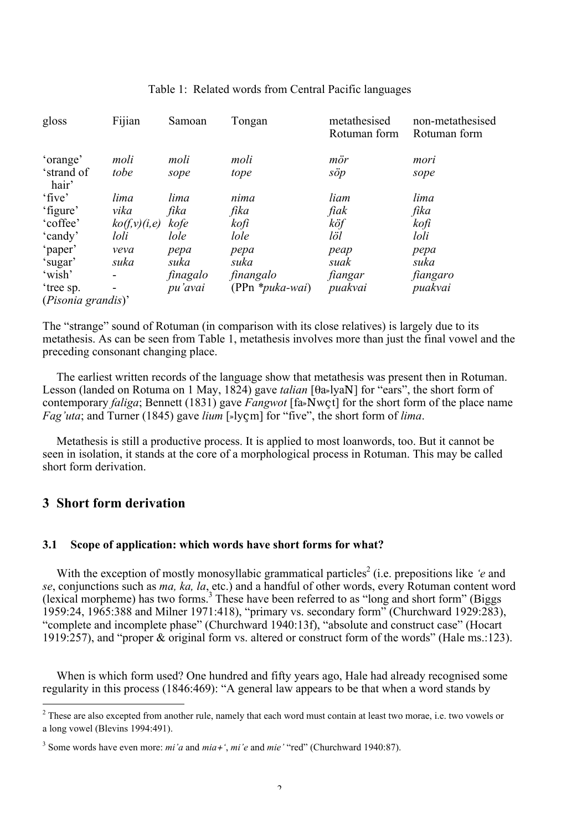| gloss               | Fijian         | Samoan   | Tongan             | metathesised<br>Rotuman form | non-metathesised<br>Rotuman form |
|---------------------|----------------|----------|--------------------|------------------------------|----------------------------------|
| 'orange'            | moli           | moli     | moli               | mör                          | mori                             |
| 'strand of<br>hair' | tobe           | sope     | tope               | söp                          | sope                             |
| 'five'              | lima           | lima     | nima               | liam                         | lima                             |
| 'figure'            | vika           | fika     | fika               | fiak                         | fika                             |
| 'coffee'            | ko(f, v)(i, e) | kofe     | kofi               | köf                          | kofi                             |
| 'candy'             | loli           | lole     | lole               | löl                          | loli                             |
| 'paper'             | veva           | pepa     | pepa               | peap                         | pepa                             |
| 'sugar'             | suka           | suka     | suka               | suak                         | suka                             |
| 'wish'              |                | finagalo | finangalo          | fiangar                      | fiangaro                         |
| 'tree sp.           |                | pu'avai  | $(PPn * puka-wai)$ | puakvai                      | puakvai                          |
| (Pisonia grandis)'  |                |          |                    |                              |                                  |

### Table 1: Related words from Central Pacific languages

The "strange" sound of Rotuman (in comparison with its close relatives) is largely due to its metathesis. As can be seen from Table 1, metathesis involves more than just the final vowel and the preceding consonant changing place.

The earliest written records of the language show that metathesis was present then in Rotuman. Lesson (landed on Rotuma on 1 May, 1824) gave *talian* [θa»lyaN] for "ears", the short form of contemporary *faliga*; Bennett (1831) gave *Fangwot* [fa»Nwçt] for the short form of the place name *Fag'uta*; and Turner (1845) gave *lium* [»lyçm] for "five", the short form of *lima*.

Metathesis is still a productive process. It is applied to most loanwords, too. But it cannot be seen in isolation, it stands at the core of a morphological process in Rotuman. This may be called short form derivation.

### 3 Short form derivation

### 3.1 Scope of application: which words have short forms for what?

With the exception of mostly monosyllabic grammatical particles<sup>2</sup> (i.e. prepositions like *'e* and *se*, conjunctions such as *ma, ka, la*, etc.) and a handful of other words, every Rotuman content word (lexical morpheme) has two forms.<sup>3</sup> These have been referred to as "long and short form" (Biggs 1959:24, 1965:388 and Milner 1971:418), "primary vs. secondary form" (Churchward 1929:283), "complete and incomplete phase" (Churchward 1940:13f), "absolute and construct case" (Hocart 1919:257), and "proper & original form vs. altered or construct form of the words" (Hale ms.:123).

When is which form used? One hundred and fifty years ago, Hale had already recognised some regularity in this process (1846:469): "A general law appears to be that when a word stands by

 $\frac{1}{2}$ <sup>2</sup> These are also excepted from another rule, namely that each word must contain at least two morae, i.e. two vowels or a long vowel (Blevins 1994:491).

<sup>3</sup> Some words have even more: *mi'a* and *mia*+*'*, *mi'e* and *mie'* "red" (Churchward 1940:87).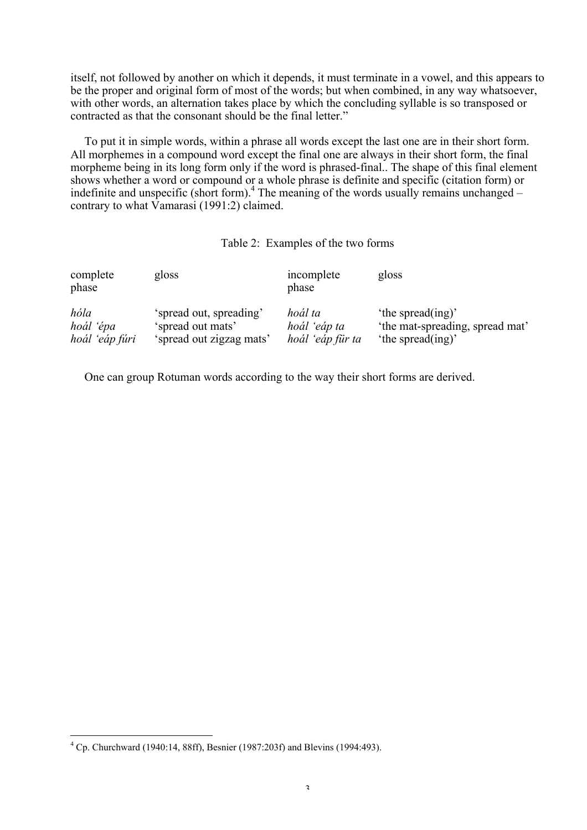itself, not followed by another on which it depends, it must terminate in a vowel, and this appears to be the proper and original form of most of the words; but when combined, in any way whatsoever, with other words, an alternation takes place by which the concluding syllable is so transposed or contracted as that the consonant should be the final letter."

To put it in simple words, within a phrase all words except the last one are in their short form. All morphemes in a compound word except the final one are always in their short form, the final morpheme being in its long form only if the word is phrased-final.. The shape of this final element shows whether a word or compound or a whole phrase is definite and specific (citation form) or indefinite and unspecific (short form).<sup>4</sup> The meaning of the words usually remains unchanged – contrary to what Vamarasi (1991:2) claimed.

### Table 2: Examples of the two forms

| complete<br>phase | gloss                    | incomplete<br>phase | gloss                           |
|-------------------|--------------------------|---------------------|---------------------------------|
| hóla              | 'spread out, spreading'  | hoál ta             | 'the spread(ing)'               |
| hoál 'épa         | 'spread out mats'        | hoál 'eáp ta        | 'the mat-spreading, spread mat' |
| hoál 'eáp fúri    | 'spread out zigzag mats' | hoál 'eáp für ta    | 'the spread(ing)'               |

One can group Rotuman words according to the way their short forms are derived.

 $\frac{1}{4}$  $^{4}$  Cp. Churchward (1940:14, 88ff), Besnier (1987:203f) and Blevins (1994:493).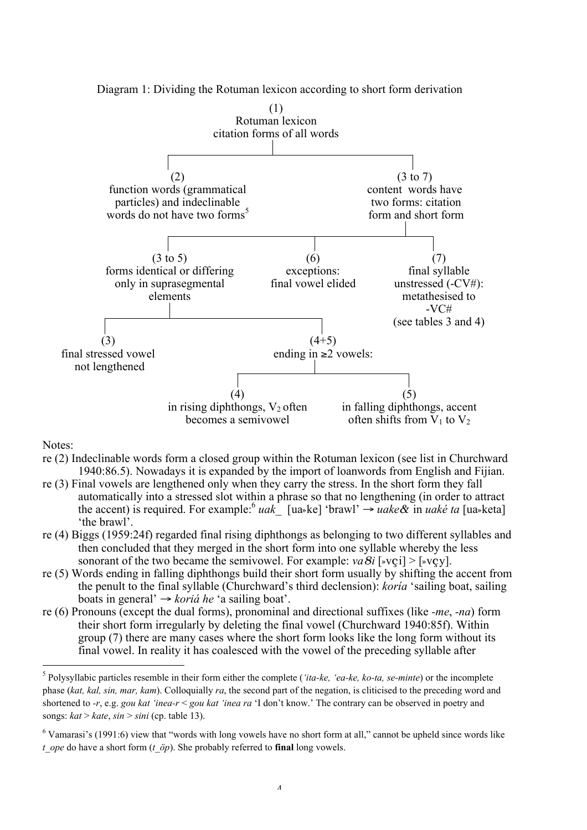

Diagram 1: Dividing the Rotuman lexicon according to short form derivation

Notes:

- re (2) Indeclinable words form a closed group within the Rotuman lexicon (see list in Churchward 1940:86.5). Nowadays it is expanded by the import of loanwords from English and Fijian.
- re (3) Final vowels are lengthened only when they carry the stress. In the short form they fall automatically into a stressed slot within a phrase so that no lengthening (in order to attract the accent) is required. For example:<sup>6</sup> *uak* [ua»ke] 'brawl'  $\rightarrow$  *uake*& in *uaké ta* [ua»keta] 'the brawl'.
- re (4) Biggs (1959:24f) regarded final rising diphthongs as belonging to two different syllables and then concluded that they merged in the short form into one syllable whereby the less sonorant of the two became the semivowel. For example:  $va\delta i$  [»vci] > [»vcy].
- re (5) Words ending in falling diphthongs build their short form usually by shifting the accent from the penult to the final syllable (Churchward's third declension): *koría* 'sailing boat, sailing boats in general' → *koriá he* 'a sailing boat'.
- re (6) Pronouns (except the dual forms), pronominal and directional suffixes (like *-me*, *-na*) form their short form irregularly by deleting the final vowel (Churchward 1940:85f). Within group (7) there are many cases where the short form looks like the long form without its final vowel. In reality it has coalesced with the vowel of the preceding syllable after

 <sup>5</sup> Polysyllabic particles resemble in their form either the complete (*'ita-ke, 'ea-ke, ko-ta, se-minte*) or the incomplete phase (*kat, kal, sin, mar, kam*). Colloquially *ra*, the second part of the negation, is cliticised to the preceding word and shortened to *-r*, e.g. *gou kat 'inea-r* < *gou kat 'inea ra* 'I don't know.' The contrary can be observed in poetry and songs:  $kat > kate$ ,  $sin > sini$  (cp. table 13).

 $6$  Vamarasi's (1991:6) view that "words with long vowels have no short form at all," cannot be upheld since words like *t\_ope* do have a short form (*t\_öp*). She probably referred to **final** long vowels.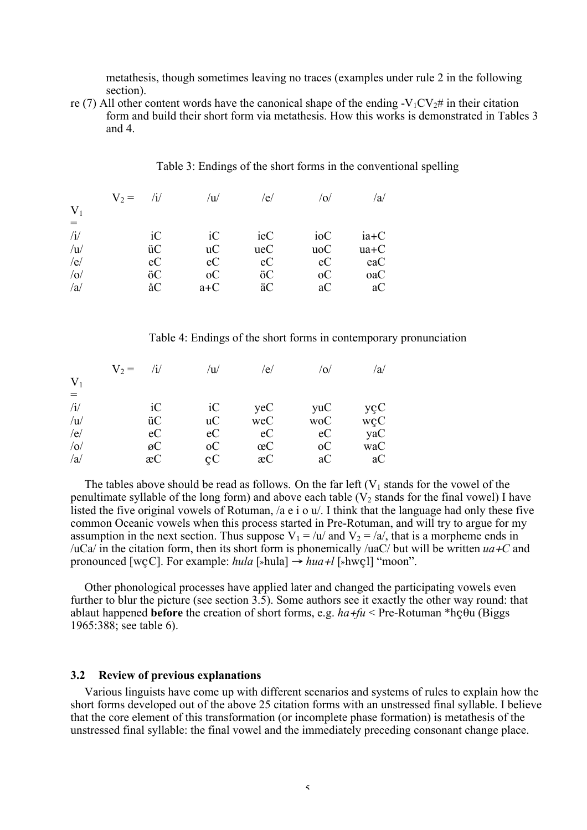metathesis, though sometimes leaving no traces (examples under rule 2 in the following section).

re (7) All other content words have the canonical shape of the ending -V<sub>1</sub>CV<sub>2</sub># in their citation form and build their short form via metathesis. How this works is demonstrated in Tables 3 and 4.

|       | $V_2 =$<br>$\mathbf{1}$ | $\overline{u}$ | /e/ |            | /a/    |
|-------|-------------------------|----------------|-----|------------|--------|
| $V_1$ |                         |                |     |            |        |
| $=$   |                         |                |     |            |        |
| /i/   | iC                      | iC             | ieC | ioC        | $ia+C$ |
| /u    | üC                      | uc             | ueC | uoC        | $ua+C$ |
| /e/   | eC                      | eC             | eC  | eC         | eaC    |
| $/$ o | öC                      | $\rm ^{1}$     | öC  | $\rm ^{1}$ | oaC    |
| /a    | åC                      | $a+C$          | äC  | aC         | aC     |

Table 3: Endings of the short forms in the conventional spelling

Table 4: Endings of the short forms in contemporary pronunciation

|             | $V_2 =$ | 'u              | 'e/ | O.  | $\langle a \rangle$ |
|-------------|---------|-----------------|-----|-----|---------------------|
| $V_1$       |         |                 |     |     |                     |
| $=$         |         |                 |     |     |                     |
| /i/         | iC      | iC              | yeC | yuC | yçC                 |
| /u          | üC      | uc              | weC | woC | wçC                 |
| /e/         | eC      | eC              | ec  | ec  | yaC                 |
| $ 0\rangle$ | øC      | <sub>o</sub> C  | œC  | оC  | waC                 |
| /a          | æC      | $\rm{c} \rm{C}$ | æC  | aC  | aC                  |

The tables above should be read as follows. On the far left  $(V_1$  stands for the vowel of the penultimate syllable of the long form) and above each table  $(V_2$  stands for the final vowel) I have listed the five original vowels of Rotuman, /a e i o u/. I think that the language had only these five common Oceanic vowels when this process started in Pre-Rotuman, and will try to argue for my assumption in the next section. Thus suppose  $V_1 = \frac{\mu}{a}$  and  $V_2 = \frac{\lambda}{a}$ , that is a morpheme ends in /uCa/ in the citation form, then its short form is phonemically /uaC/ but will be written *ua*+*C* and pronounced [wcC]. For example:  $hula$  [»hula]  $\rightarrow hua+1$  [»hwcl] "moon".

Other phonological processes have applied later and changed the participating vowels even further to blur the picture (see section 3.5). Some authors see it exactly the other way round: that ablaut happened **before** the creation of short forms, e.g.  $ha+fu \leq Pre-Rotuman *hc\theta u$  (Biggs 1965:388; see table 6).

#### 3.2 Review of previous explanations

Various linguists have come up with different scenarios and systems of rules to explain how the short forms developed out of the above 25 citation forms with an unstressed final syllable. I believe that the core element of this transformation (or incomplete phase formation) is metathesis of the unstressed final syllable: the final vowel and the immediately preceding consonant change place.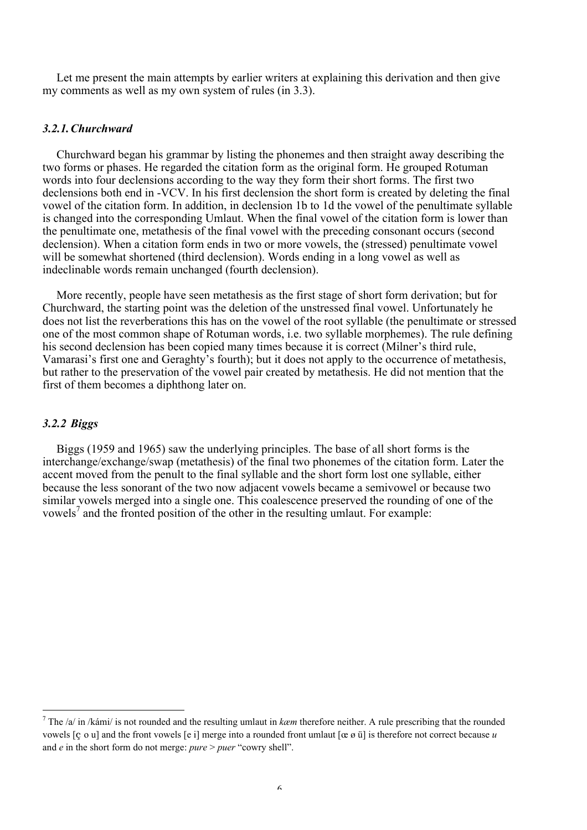Let me present the main attempts by earlier writers at explaining this derivation and then give my comments as well as my own system of rules (in 3.3).

#### *3.2.1.Churchward*

Churchward began his grammar by listing the phonemes and then straight away describing the two forms or phases. He regarded the citation form as the original form. He grouped Rotuman words into four declensions according to the way they form their short forms. The first two declensions both end in -VCV. In his first declension the short form is created by deleting the final vowel of the citation form. In addition, in declension 1b to 1d the vowel of the penultimate syllable is changed into the corresponding Umlaut. When the final vowel of the citation form is lower than the penultimate one, metathesis of the final vowel with the preceding consonant occurs (second declension). When a citation form ends in two or more vowels, the (stressed) penultimate vowel will be somewhat shortened (third declension). Words ending in a long vowel as well as indeclinable words remain unchanged (fourth declension).

More recently, people have seen metathesis as the first stage of short form derivation; but for Churchward, the starting point was the deletion of the unstressed final vowel. Unfortunately he does not list the reverberations this has on the vowel of the root syllable (the penultimate or stressed one of the most common shape of Rotuman words, i.e. two syllable morphemes). The rule defining his second declension has been copied many times because it is correct (Milner's third rule, Vamarasi's first one and Geraghty's fourth); but it does not apply to the occurrence of metathesis, but rather to the preservation of the vowel pair created by metathesis. He did not mention that the first of them becomes a diphthong later on.

#### *3.2.2 Biggs*

Biggs (1959 and 1965) saw the underlying principles. The base of all short forms is the interchange/exchange/swap (metathesis) of the final two phonemes of the citation form. Later the accent moved from the penult to the final syllable and the short form lost one syllable, either because the less sonorant of the two now adjacent vowels became a semivowel or because two similar vowels merged into a single one. This coalescence preserved the rounding of one of the vowels<sup>7</sup> and the fronted position of the other in the resulting umlaut. For example:

 <sup>7</sup> The /a/ in /kámi/ is not rounded and the resulting umlaut in *kæm* therefore neither. A rule prescribing that the rounded vowels [ç o u] and the front vowels [e i] merge into a rounded front umlaut [œ ø ü] is therefore not correct because *u* and *e* in the short form do not merge: *pure* > *puer* "cowry shell".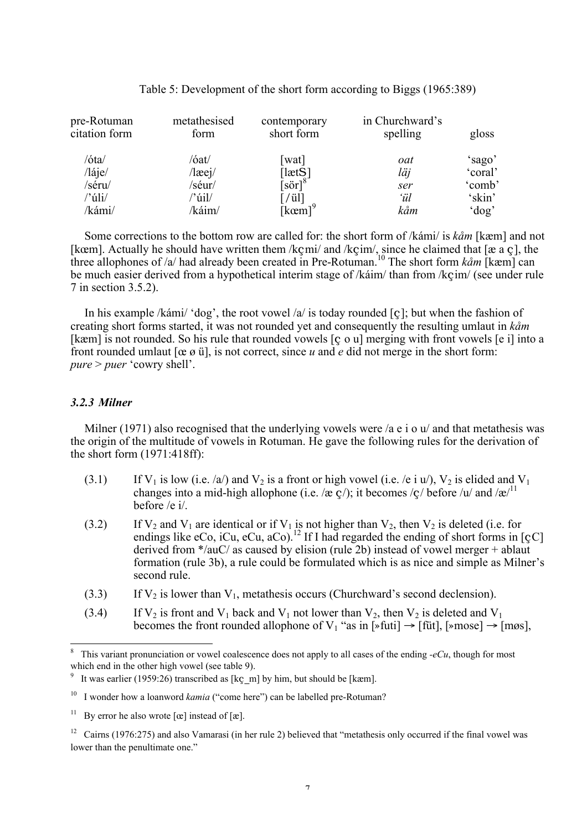| pre-Rotuman<br>citation form | metathesised<br>form | contemporary<br>short form                                     | in Churchward's<br>spelling | gloss   |
|------------------------------|----------------------|----------------------------------------------------------------|-----------------------------|---------|
| /óta/                        | /óat/                | [wat]                                                          | oat                         | 'sago'  |
| $\ell$ láje $\ell$           | $/$ læej $/$         | [letS]                                                         | läj                         | 'coral' |
| /séru/                       | /séur/               | $\left\lceil \text{s} \ddot{\text{o}} \text{r} \right\rceil^8$ | ser                         | 'comb'  |
| /'úli/                       | /'úil/               | $[$ / ül]                                                      | ʻül                         | 'skin'  |
| /kámi/                       | /káim/               | [kcm]                                                          | kåm                         | 'dog'   |

#### Table 5: Development of the short form according to Biggs (1965:389)

Some corrections to the bottom row are called for: the short form of /kámi/ is *kåm* [kæm] and not [kœm]. Actually he should have written them /kçmi/ and /kçim/, since he claimed that [æ a ç], the three allophones of /a/ had already been created in Pre-Rotuman.<sup>10</sup> The short form *kåm* [kæm] can be much easier derived from a hypothetical interim stage of /káim/ than from /kçim/ (see under rule 7 in section 3.5.2).

In his example /kámi/ 'dog', the root vowel /a/ is today rounded [c]; but when the fashion of creating short forms started, it was not rounded yet and consequently the resulting umlaut in *kåm* [kæm] is not rounded. So his rule that rounded vowels [c o u] merging with front vowels [e i] into a front rounded umlaut [œ ø ü], is not correct, since *u* and *e* did not merge in the short form: *pure* > *puer* 'cowry shell'.

### *3.2.3 Milner*

Milner (1971) also recognised that the underlying vowels were /a e i o u/ and that metathesis was the origin of the multitude of vowels in Rotuman. He gave the following rules for the derivation of the short form (1971:418ff):

- (3.1) If V<sub>1</sub> is low (i.e. /a/) and V<sub>2</sub> is a front or high vowel (i.e. /e i u/), V<sub>2</sub> is elided and V<sub>1</sub> changes into a mid-high allophone (i.e. /æ c/); it becomes /c/ before /u/ and /æ/<sup>11</sup> before /e i/.
- (3.2) If  $V_2$  and  $V_1$  are identical or if  $V_1$  is not higher than  $V_2$ , then  $V_2$  is deleted (i.e. for endings like eCo, iCu, eCu, aCo).<sup>12</sup> If I had regarded the ending of short forms in [çC] derived from \*/auC/ as caused by elision (rule 2b) instead of vowel merger + ablaut formation (rule 3b), a rule could be formulated which is as nice and simple as Milner's second rule.
- (3.3) If  $V_2$  is lower than  $V_1$ , metathesis occurs (Churchward's second declension).
- (3.4) If  $V_2$  is front and  $V_1$  back and  $V_1$  not lower than  $V_2$ , then  $V_2$  is deleted and  $V_1$ becomes the front rounded allophone of  $V_1$  "as in [»futi]  $\rightarrow$  [füt], [»mose]  $\rightarrow$  [møs],

 <sup>8</sup> This variant pronunciation or vowel coalescence does not apply to all cases of the ending *-eCu*, though for most which end in the other high vowel (see table 9).

<sup>9</sup> It was earlier (1959:26) transcribed as [kç\_m] by him, but should be [kæm].

<sup>&</sup>lt;sup>10</sup> I wonder how a loanword *kamia* ("come here") can be labelled pre-Rotuman?

<sup>11</sup> By error he also wrote  $[\alpha]$  instead of  $[\alpha]$ .

 $12$  Cairns (1976:275) and also Vamarasi (in her rule 2) believed that "metathesis only occurred if the final vowel was lower than the penultimate one."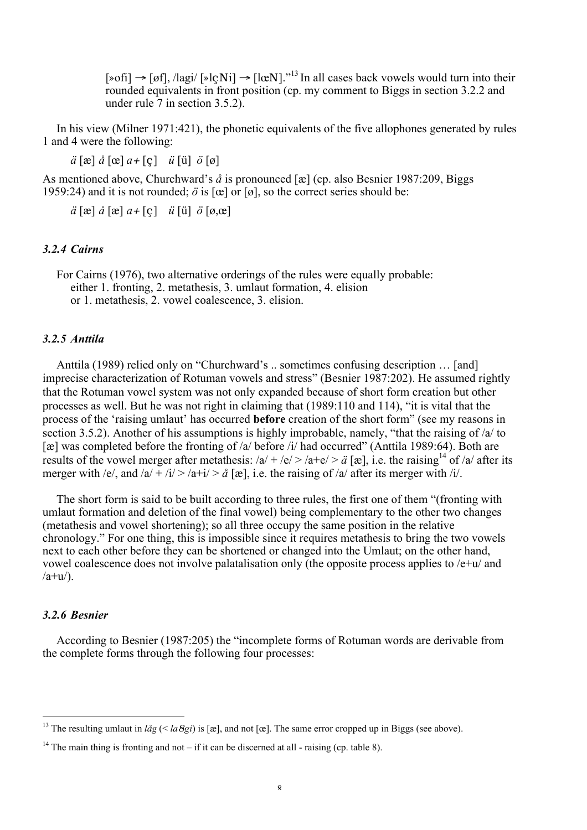$[\text{soft}] \rightarrow [\text{off}], \text{high}$   $[\text{keyNi}] \rightarrow [\text{lev}N].^{13}$  In all cases back vowels would turn into their rounded equivalents in front position (cp. my comment to Biggs in section 3.2.2 and under rule 7 in section 3.5.2).

In his view (Milner 1971:421), the phonetic equivalents of the five allophones generated by rules 1 and 4 were the following:

*ä* [æ] *å* [œ] *a*+ [ç] *ü* [ü] *ö* [ø]

As mentioned above, Churchward's *å* is pronounced [æ] (cp. also Besnier 1987:209, Biggs 1959:24) and it is not rounded;  $\ddot{o}$  is  $[\alpha]$  or  $[\alpha]$ , so the correct series should be:

*ä* [æ] *å* [æ] *a*+ [ç] *ü* [ü] *ö* [ø,œ]

#### *3.2.4 Cairns*

For Cairns (1976), two alternative orderings of the rules were equally probable: either 1. fronting, 2. metathesis, 3. umlaut formation, 4. elision or 1. metathesis, 2. vowel coalescence, 3. elision.

### *3.2.5 Anttila*

Anttila (1989) relied only on "Churchward's .. sometimes confusing description … [and] imprecise characterization of Rotuman vowels and stress" (Besnier 1987:202). He assumed rightly that the Rotuman vowel system was not only expanded because of short form creation but other processes as well. But he was not right in claiming that (1989:110 and 114), "it is vital that the process of the 'raising umlaut' has occurred before creation of the short form" (see my reasons in section 3.5.2). Another of his assumptions is highly improbable, namely, "that the raising of /a/ to [æ] was completed before the fronting of /a/ before /i/ had occurred" (Anttila 1989:64). Both are results of the vowel merger after metathesis:  $|a| + |e| > |a+e| > a$  [æ], i.e. the raising<sup>14</sup> of  $|a|$  after its merger with /e/, and  $|a| + |i| > |a+i| > a$  [æ], i.e. the raising of /a/ after its merger with /i/.

The short form is said to be built according to three rules, the first one of them "(fronting with umlaut formation and deletion of the final vowel) being complementary to the other two changes (metathesis and vowel shortening); so all three occupy the same position in the relative chronology." For one thing, this is impossible since it requires metathesis to bring the two vowels next to each other before they can be shortened or changed into the Umlaut; on the other hand, vowel coalescence does not involve palatalisation only (the opposite process applies to /e+u/ and  $\langle$ a+u $\langle$ ).

### *3.2.6 Besnier*

According to Besnier (1987:205) the "incomplete forms of Rotuman words are derivable from the complete forms through the following four processes:

<sup>&</sup>lt;sup>13</sup> The resulting umlaut in  $l\mathring{a}g \leq l\mathscr{a}g\mathscr{a}j$  is [æ], and not [œ]. The same error cropped up in Biggs (see above).

<sup>&</sup>lt;sup>14</sup> The main thing is fronting and not – if it can be discerned at all - raising (cp. table 8).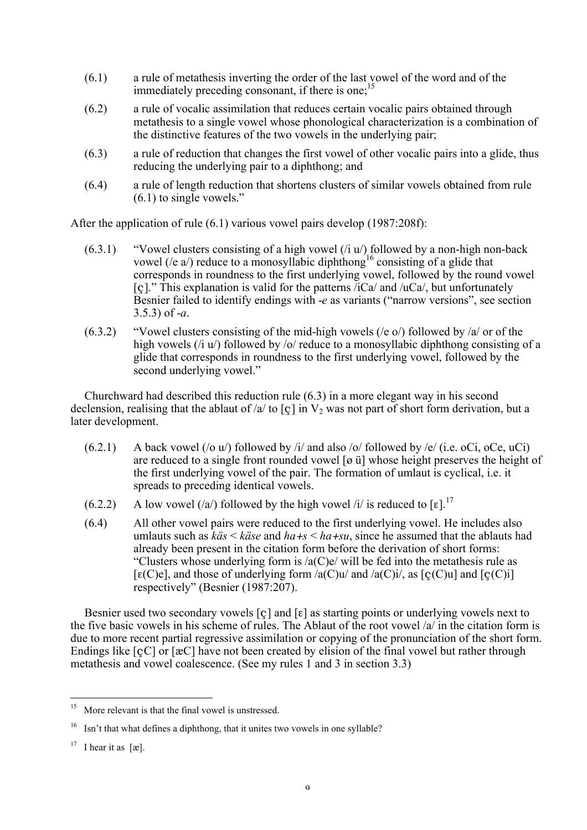- (6.1) a rule of metathesis inverting the order of the last vowel of the word and of the immediately preceding consonant, if there is one;  $^{15}$
- (6.2) a rule of vocalic assimilation that reduces certain vocalic pairs obtained through metathesis to a single vowel whose phonological characterization is a combination of the distinctive features of the two vowels in the underlying pair;
- (6.3) a rule of reduction that changes the first vowel of other vocalic pairs into a glide, thus reducing the underlying pair to a diphthong; and
- (6.4) a rule of length reduction that shortens clusters of similar vowels obtained from rule (6.1) to single vowels."

After the application of rule (6.1) various vowel pairs develop (1987:208f):

- $(6.3.1)$  "Vowel clusters consisting of a high vowel  $(i, u)$  followed by a non-high non-back vowel (/e a/) reduce to a monosyllabic diphthong<sup>16</sup> consisting of a glide that corresponds in roundness to the first underlying vowel, followed by the round vowel  $\lceil$  c  $\lceil$ ." This explanation is valid for the patterns /iCa/ and /uCa/, but unfortunately Besnier failed to identify endings with -*e* as variants ("narrow versions", see section 3.5.3) of -*a*.
- $(6.3.2)$  "Vowel clusters consisting of the mid-high vowels ( $/e$  o) followed by  $\alpha$  or of the high vowels (/i u/) followed by /o/ reduce to a monosyllabic diphthong consisting of a glide that corresponds in roundness to the first underlying vowel, followed by the second underlying vowel."

Churchward had described this reduction rule (6.3) in a more elegant way in his second declension, realising that the ablaut of /a/ to  $\lceil$  c  $\rceil$  in  $V_2$  was not part of short form derivation, but a later development.

- $(6.2.1)$  A back vowel  $($ /o u $)$  followed by /i/ and also /o/ followed by /e/ (i.e. oCi, oCe, uCi) are reduced to a single front rounded vowel [ø ü] whose height preserves the height of the first underlying vowel of the pair. The formation of umlaut is cyclical, i.e. it spreads to preceding identical vowels.
- (6.2.2) A low vowel (/a/) followed by the high vowel /i/ is reduced to  $\lceil \epsilon \rceil$ .<sup>17</sup>
- (6.4) All other vowel pairs were reduced to the first underlying vowel. He includes also umlauts such as *käs* < *käse* and *ha*+*s* < *ha*+*su*, since he assumed that the ablauts had already been present in the citation form before the derivation of short forms: "Clusters whose underlying form is  $\alpha$  (C)e/ will be fed into the metathesis rule as [ $\varepsilon$ (C)e], and those of underlying form /a(C)u/ and /a(C)i/, as [ $\varsigma$ (C)u] and [ $\varsigma$ (C)i] respectively" (Besnier (1987:207).

Besnier used two secondary vowels [ç] and [ε] as starting points or underlying vowels next to the five basic vowels in his scheme of rules. The Ablaut of the root vowel /a/ in the citation form is due to more recent partial regressive assimilation or copying of the pronunciation of the short form. Endings like [çC] or [æC] have not been created by elision of the final vowel but rather through metathesis and vowel coalescence. (See my rules 1 and 3 in section 3.3)

 <sup>15</sup> More relevant is that the final vowel is unstressed.

<sup>16</sup> Isn't that what defines a diphthong, that it unites two vowels in one syllable?

<sup>&</sup>lt;sup>17</sup> I hear it as  $[\mathbf{\alpha}]$ .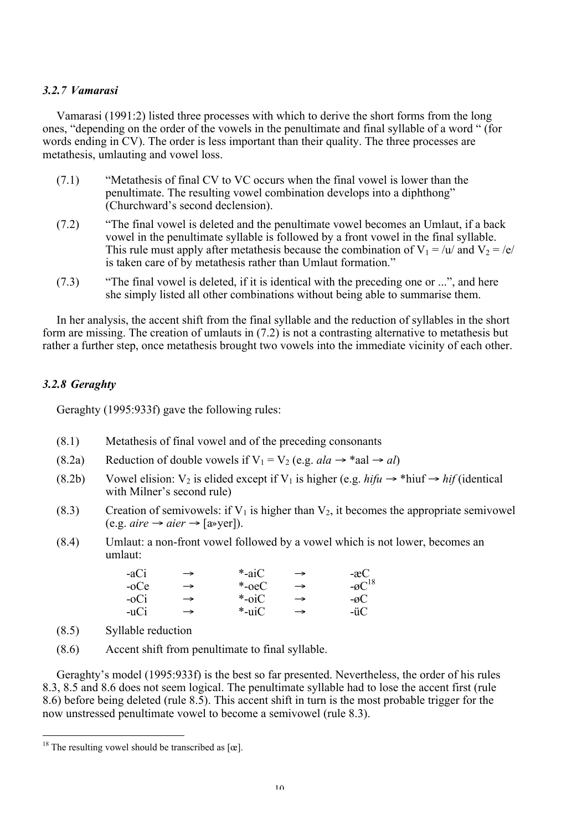### *3.2.7 Vamarasi*

Vamarasi (1991:2) listed three processes with which to derive the short forms from the long ones, "depending on the order of the vowels in the penultimate and final syllable of a word " (for words ending in CV). The order is less important than their quality. The three processes are metathesis, umlauting and vowel loss.

- (7.1) "Metathesis of final CV to VC occurs when the final vowel is lower than the penultimate. The resulting vowel combination develops into a diphthong" (Churchward's second declension).
- (7.2) "The final vowel is deleted and the penultimate vowel becomes an Umlaut, if a back vowel in the penultimate syllable is followed by a front vowel in the final syllable. This rule must apply after metathesis because the combination of  $V_1 = /u/d$  and  $V_2 = /e/$ is taken care of by metathesis rather than Umlaut formation."
- (7.3) "The final vowel is deleted, if it is identical with the preceding one or ...", and here she simply listed all other combinations without being able to summarise them.

In her analysis, the accent shift from the final syllable and the reduction of syllables in the short form are missing. The creation of umlauts in (7.2) is not a contrasting alternative to metathesis but rather a further step, once metathesis brought two vowels into the immediate vicinity of each other.

### *3.2.8 Geraghty*

Geraghty (1995:933f) gave the following rules:

- (8.1) Metathesis of final vowel and of the preceding consonants
- (8.2a) Reduction of double vowels if  $V_1 = V_2$  (e.g. *ala*  $\rightarrow$  \*aal  $\rightarrow$  *al*)
- (8.2b) Vowel elision:  $V_2$  is elided except if  $V_1$  is higher (e.g. *hifu*  $\rightarrow$  \*hiuf  $\rightarrow$  *hif* (identical) with Milner's second rule)
- (8.3) Creation of semivowels: if  $V_1$  is higher than  $V_2$ , it becomes the appropriate semivowel  $(e.g. *aire* \rightarrow *aier* \rightarrow  $[a \rightarrow \text{ver}])$ .$
- (8.4) Umlaut: a non-front vowel followed by a vowel which is not lower, becomes an umlaut:

| -aCi | $\rightarrow$ | *-ai $\rm C$ | $\rightarrow$ | $-$ æC                |
|------|---------------|--------------|---------------|-----------------------|
| -oCe | $\rightarrow$ | $*$ -oeC     | $\rightarrow$ | $-\varnothing C^{18}$ |
| -oCi | $\rightarrow$ | *-oiC        | $\rightarrow$ | $-\varnothing$ C      |
| -uCi | $\rightarrow$ | *-uiC        | $\rightarrow$ | -üC                   |

- (8.5) Syllable reduction
- (8.6) Accent shift from penultimate to final syllable.

Geraghty's model (1995:933f) is the best so far presented. Nevertheless, the order of his rules 8.3, 8.5 and 8.6 does not seem logical. The penultimate syllable had to lose the accent first (rule 8.6) before being deleted (rule 8.5). This accent shift in turn is the most probable trigger for the now unstressed penultimate vowel to become a semivowel (rule 8.3).

<sup>&</sup>lt;sup>18</sup> The resulting vowel should be transcribed as  $[\alpha]$ .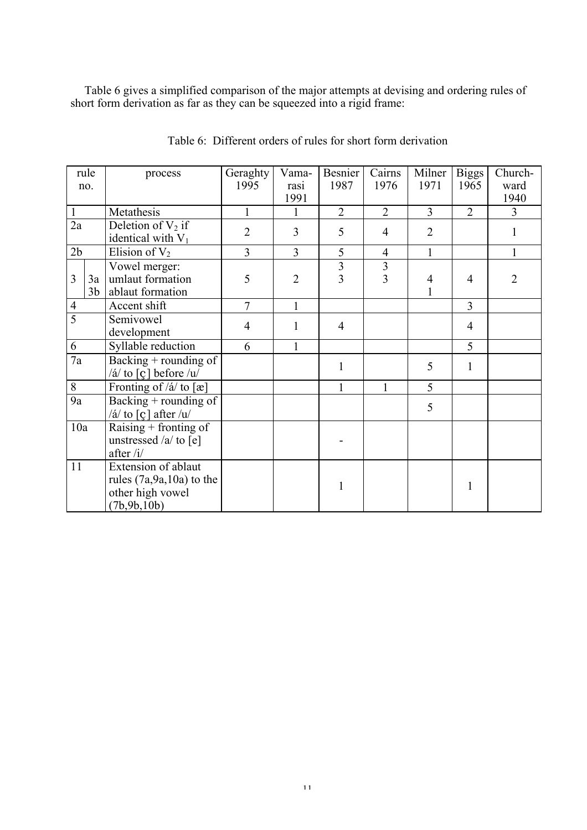Table 6 gives a simplified comparison of the major attempts at devising and ordering rules of short form derivation as far as they can be squeezed into a rigid frame:

|                 | rule<br>no.          | process                                                                                  | Geraghty<br>1995 | Vama-<br>rasi<br>1991 | Besnier<br>1987     | Cairns<br>1976      | Milner<br>1971 | <b>Biggs</b><br>1965 | Church-<br>ward<br>1940 |
|-----------------|----------------------|------------------------------------------------------------------------------------------|------------------|-----------------------|---------------------|---------------------|----------------|----------------------|-------------------------|
| 1               |                      | Metathesis                                                                               | 1                | 1                     | $\overline{2}$      | $\overline{2}$      | $\overline{3}$ | $\overline{2}$       | 3                       |
| $\overline{2a}$ |                      | Deletion of $V_2$ if<br>identical with $V_1$                                             | $\overline{2}$   | 3                     | 5                   | $\overline{4}$      | $\overline{2}$ |                      | 1                       |
| 2b              |                      | Elision of $V_2$                                                                         | 3                | 3                     | 5                   | $\overline{4}$      | $\mathbf{1}$   |                      | 1                       |
| 3               | 3a<br>3 <sub>b</sub> | Vowel merger:<br>umlaut formation<br>ablaut formation                                    | 5                | $\overline{2}$        | 3<br>$\overline{3}$ | 3<br>$\overline{3}$ | $\overline{4}$ | $\overline{4}$       | $\overline{2}$          |
| $\overline{4}$  |                      | Accent shift                                                                             | $\overline{7}$   | 1                     |                     |                     |                | $\overline{3}$       |                         |
| $\overline{5}$  |                      | Semivowel<br>development                                                                 | $\overline{4}$   |                       | $\overline{4}$      |                     |                | $\overline{4}$       |                         |
| 6               |                      | Syllable reduction                                                                       | 6                | $\mathbf{1}$          |                     |                     |                | 5                    |                         |
| $\overline{7a}$ |                      | Backing $+$ rounding of<br>$/\acute{a}/$ to [ç] before $/u/$                             |                  |                       | $\mathbf{1}$        |                     | 5              | $\mathbf{1}$         |                         |
| $8\,$           |                      | Fronting of / $\acute{a}$ / to [æ]                                                       |                  |                       | $\mathbf{1}$        | $\mathbf{1}$        | 5              |                      |                         |
| 9a              |                      | Backing + rounding of<br>/á/ to $\lceil \varrho \rceil$ after /u/                        |                  |                       |                     |                     | 5              |                      |                         |
| 10a             |                      | Raising $+$ fronting of<br>unstressed /a/ to [e]<br>after $/i/$                          |                  |                       |                     |                     |                |                      |                         |
| 11              |                      | Extension of ablaut<br>rules $(7a, 9a, 10a)$ to the<br>other high vowel<br>(7b, 9b, 10b) |                  |                       | 1                   |                     |                | $\mathbf{1}$         |                         |

Table 6: Different orders of rules for short form derivation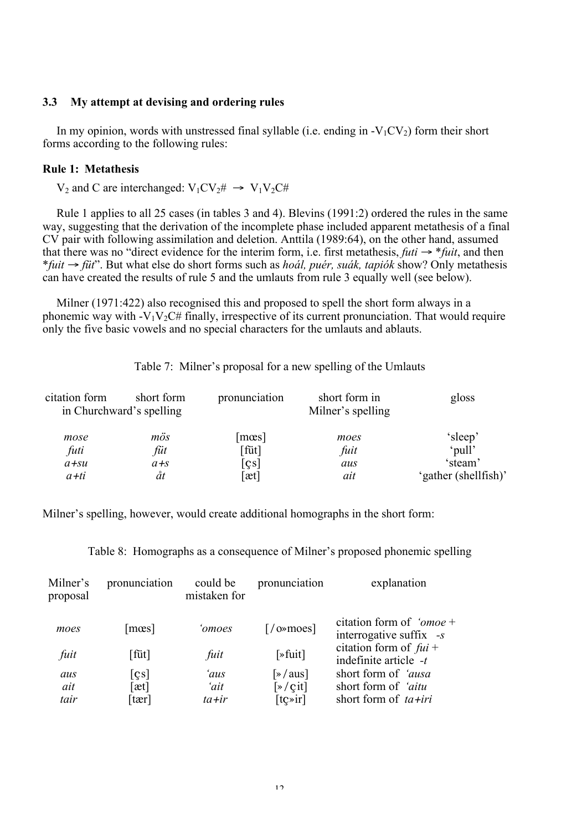### 3.3 My attempt at devising and ordering rules

In my opinion, words with unstressed final syllable (i.e. ending in  $-V_1CV_2$ ) form their short forms according to the following rules:

### Rule 1: Metathesis

 $V_2$  and C are interchanged:  $V_1CV_2 \# \rightarrow V_1V_2C \#$ 

Rule 1 applies to all 25 cases (in tables 3 and 4). Blevins (1991:2) ordered the rules in the same way, suggesting that the derivation of the incomplete phase included apparent metathesis of a final CV pair with following assimilation and deletion. Anttila (1989:64), on the other hand, assumed that there was no "direct evidence for the interim form, i.e. first metathesis, *futi*  $\rightarrow$  \**fuit*, and then \**fuit* → *füt*". But what else do short forms such as *hoál, puér, suák, tapiók* show? Only metathesis can have created the results of rule 5 and the umlauts from rule 3 equally well (see below).

Milner (1971:422) also recognised this and proposed to spell the short form always in a phonemic way with  $-V_1V_2C\#$  finally, irrespective of its current pronunciation. That would require only the five basic vowels and no special characters for the umlauts and ablauts.

Table 7: Milner's proposal for a new spelling of the Umlauts

| citation form | short form<br>in Churchward's spelling | pronunciation              | short form in<br>Milner's spelling | gloss                |
|---------------|----------------------------------------|----------------------------|------------------------------------|----------------------|
| mose          | mös                                    | $\lceil \text{mes} \rceil$ | moes                               | 'sleep'              |
| futi          | füt                                    | [füt]                      | fuit                               | 'pull'               |
| $a + su$      | $a + s$                                | $\lceil$ cs]               | aus                                | 'steam'              |
| $a+ti$        | åt                                     | [æt]                       | ait                                | 'gather (shellfish)' |

Milner's spelling, however, would create additional homographs in the short form:

Table 8: Homographs as a consequence of Milner's proposed phonemic spelling

| Milner's<br>proposal | pronunciation              | could be<br>mistaken for | pronunciation                                                            | explanation                                              |
|----------------------|----------------------------|--------------------------|--------------------------------------------------------------------------|----------------------------------------------------------|
| moes                 | $\lceil \text{mes} \rceil$ | 'omoes                   | $\lceil$ /0» moes $\rceil$                                               | citation form of ' $\omega$<br>interrogative suffix $-s$ |
| fuit                 | [füt]                      | fuit                     | $[\ast$ fuit]                                                            | citation form of $fui +$<br>indefinite article -t        |
| aus                  | $\lfloor$ cs               | 'aus                     | $\sqrt{ \mathcal{A} }$                                                   | short form of 'ausa                                      |
| ait                  | $[\text{at}]$              | 'ait                     | $\left[\frac{\partial}{\partial x} + \frac{\partial}{\partial y}\right]$ | short form of <i>'aitu</i>                               |
| tair                 | $\text{tar}$               | $ta + ir$                | $[$ t $\chi$ >ir $]$                                                     | short form of $ta+iri$                                   |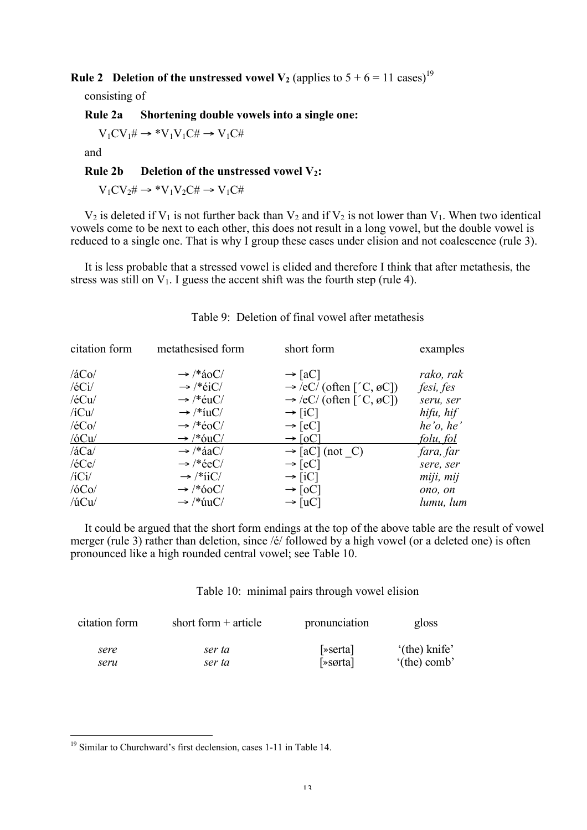**Rule 2** Deletion of the unstressed vowel  $V_2$  (applies to  $5 + 6 = 11 \text{ cases}^{19}$ )

consisting of

Rule 2a Shortening double vowels into a single one:

 $V_1CV_1\# \rightarrow *V_1V_1C\# \rightarrow V_1C\#$ 

and

Rule 2b Deletion of the unstressed vowel  $V_2$ :

 $V_1CV_2\# \rightarrow *V_1V_2C\# \rightarrow V_1C\#$ 

 $V_2$  is deleted if  $V_1$  is not further back than  $V_2$  and if  $V_2$  is not lower than  $V_1$ . When two identical vowels come to be next to each other, this does not result in a long vowel, but the double vowel is reduced to a single one. That is why I group these cases under elision and not coalescence (rule 3).

It is less probable that a stressed vowel is elided and therefore I think that after metathesis, the stress was still on  $V_1$ . I guess the accent shift was the fourth step (rule 4).

| citation form | metathesised form     | short form                          | examples  |
|---------------|-----------------------|-------------------------------------|-----------|
| /4CO/         | $\rightarrow$ /*aoC/  | $\rightarrow$ [aC]                  | rako, rak |
| $/$ é $Ci/$   | $\rightarrow$ /*eiC/  | $\rightarrow$ /eC/ (often ['C, øC]) | fesi, fes |
| $/$ é $Cu/$   | $\rightarrow$ /*éuC/  | $\rightarrow$ /eC/ (often ['C, øC]) | seru, ser |
| $/$ iCu $/$   | $\rightarrow$ /*iuC/  | $\rightarrow$ [iC]                  | hifu, hif |
| /é $Co/$      | $\rightarrow$ /*éoC/  | $\rightarrow$ [eC]                  | he'o, he' |
| /6Cu/         | $\rightarrow$ /*ouC/  | $\rightarrow$ [oC]                  | folu, fol |
| /4Ca/         | $\rightarrow$ /* áaC/ | $\rightarrow$ [aC] (not _C)         | fara, far |
| $/$ é $Ce$ /  | $\rightarrow$ /*eeC/  | $\rightarrow$ [eC]                  | sere, ser |
| $/$ iCi $/$   | $\rightarrow$ /*iiC/  | $\rightarrow$ [iC]                  | miji, mij |
| /6Co/         | $\rightarrow$ /*60C/  | $\rightarrow$ [oC]                  | ono, on   |
| $/$ ú $Cu/$   | $\rightarrow$ /* úuC/ | $\rightarrow$ [uC]                  | lumu, lum |

### Table  $9$ : Deletion of final vowel after metathesis

It could be argued that the short form endings at the top of the above table are the result of vowel merger (rule 3) rather than deletion, since /é/ followed by a high vowel (or a deleted one) is often pronounced like a high rounded central vowel; see Table 10.

Table 10: minimal pairs through vowel elision

| citation form | short form $+$ article | pronunciation | gloss                  |
|---------------|------------------------|---------------|------------------------|
| sere          | ser ta                 | [»serta]      | '(the) knife'          |
| seru          | ser ta                 | $\sqrt{sqrt}$ | $^{\circ}$ (the) comb' |

 <sup>19</sup> Similar to Churchward's first declension, cases 1-11 in Table 14.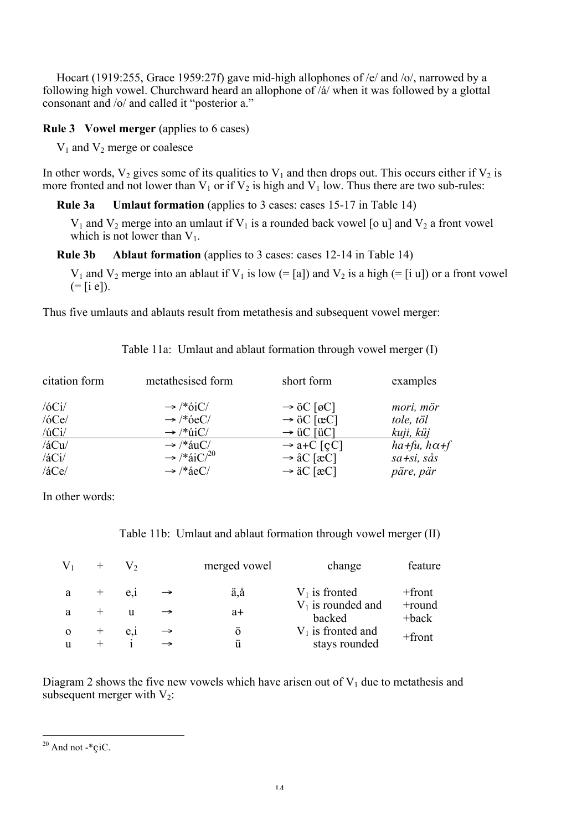Hocart (1919:255, Grace 1959:27f) gave mid-high allophones of /e/ and /o/, narrowed by a following high vowel. Churchward heard an allophone of /á/ when it was followed by a glottal consonant and /o/ and called it "posterior a."

### Rule 3 Vowel merger (applies to 6 cases)

 $V_1$  and  $V_2$  merge or coalesce

In other words,  $V_2$  gives some of its qualities to  $V_1$  and then drops out. This occurs either if  $V_2$  is more fronted and not lower than  $V_1$  or if  $V_2$  is high and  $V_1$  low. Thus there are two sub-rules:

Rule 3a Umlaut formation (applies to 3 cases: cases 15-17 in Table 14)

 $V_1$  and  $V_2$  merge into an umlaut if  $V_1$  is a rounded back vowel [o u] and  $V_2$  a front vowel which is not lower than  $V_1$ .

Rule 3b Ablaut formation (applies to 3 cases: cases 12-14 in Table 14)

 $V_1$  and  $V_2$  merge into an ablaut if  $V_1$  is low (= [a]) and  $V_2$  is a high (= [i u]) or a front vowel  $(=[i \ e]),$ 

Thus five umlauts and ablauts result from metathesis and subsequent vowel merger:

| citation form  | metathesised form                  | short form             | examples              |
|----------------|------------------------------------|------------------------|-----------------------|
| /6Ci/          | $\rightarrow$ /*6iC/               | $\rightarrow$ öC [øC]  | mori, mör             |
| /6Ce/          | $\rightarrow$ /*6eC/               | $\rightarrow$ öC [œC]  | tole, töl             |
| $/$ ú $Ci/$    | $\rightarrow$ /* $\angle iIC$ /    | $\rightarrow$ üC [üC]  | <u>kuji, küj</u>      |
| $/4$ Cu $/$    | $\rightarrow$ /*auC/               | $\rightarrow$ a+C [cC] | $ha+fu$ , $h\alpha+f$ |
| $/4\text{Ci}/$ | $\rightarrow$ /*aiC/ <sup>20</sup> | $\rightarrow$ åC [æC]  | $sa+si, s\aa s$       |
| /4Ce/          | $\rightarrow$ /* áeC/              | $\rightarrow$ äC [æC]  | päre, pär             |

Table 11a: Umlaut and ablaut formation through vowel merger (I)

In other words:

|  | Table 11b: Umlaut and ablaut formation through vowel merger (II) |  |  |  |  |  |  |  |
|--|------------------------------------------------------------------|--|--|--|--|--|--|--|
|--|------------------------------------------------------------------|--|--|--|--|--|--|--|

|   |       |          |               | merged vowel | change                         | feature               |
|---|-------|----------|---------------|--------------|--------------------------------|-----------------------|
|   | $+$   | $e_{.1}$ |               | ä,å          | $V_1$ is fronted               | $+$ front             |
|   |       | u        |               | $a+$         | $V_1$ is rounded and<br>backed | +round<br>$+$ bac $k$ |
|   | $\pm$ | $e_{,1}$ |               | Ö            | $V_1$ is fronted and           | $+$ front             |
| u |       |          | $\rightarrow$ | ü            | stays rounded                  |                       |

Diagram 2 shows the five new vowels which have arisen out of  $V_1$  due to metathesis and subsequent merger with  $V_2$ :

 $20$  And not -\* $\text{c}$ iC.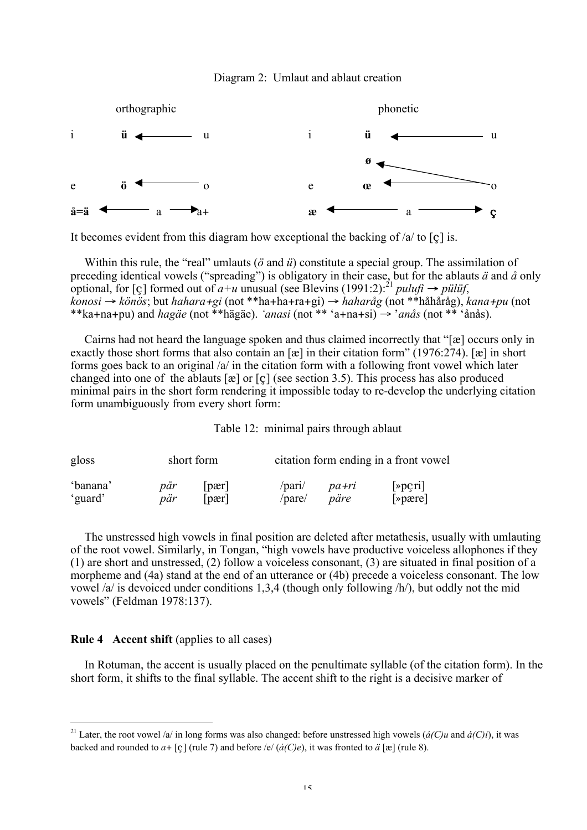



It becomes evident from this diagram how exceptional the backing of  $/a$  to [c] is.

Within this rule, the "real" umlauts (*ö* and *ü*) constitute a special group. The assimilation of preceding identical vowels ("spreading") is obligatory in their case, but for the ablauts *ä* and *å* only optional, for [ç] formed out of  $a+u$  unusual (see Blevins (1991:2):<sup>21</sup> *pulufi*  $\rightarrow$  *pülüf*, *konosi* → *könös*; but *hahara*+*gi* (not \*\*ha+ha+ra+gi) → *haharåg* (not \*\*håhåråg), *kana*+*pu* (not \*\*ka+na+pu) and *hagäe* (not \*\*hägäe). *'anasi* (not \*\* 'a+na+si) → '*anås* (not \*\* 'ånås).

Cairns had not heard the language spoken and thus claimed incorrectly that "[æ] occurs only in exactly those short forms that also contain an [æ] in their citation form" (1976:274). [æ] in short forms goes back to an original /a/ in the citation form with a following front vowel which later changed into one of the ablauts [æ] or [ç] (see section 3.5). This process has also produced minimal pairs in the short form rendering it impossible today to re-develop the underlying citation form unambiguously from every short form:

Table 12: minimal pairs through ablaut

| gloss    |     | short form                 | citation form ending in a front vowel |       |            |  |
|----------|-----|----------------------------|---------------------------------------|-------|------------|--|
| 'banana' | păr | part                       | /par1/                                | pa+ri | $[\infty]$ |  |
| 'guard'  | pär | $\lceil \text{par} \rceil$ | /pare/                                | päre  | $[\infty]$ |  |

The unstressed high vowels in final position are deleted after metathesis, usually with umlauting of the root vowel. Similarly, in Tongan, "high vowels have productive voiceless allophones if they (1) are short and unstressed, (2) follow a voiceless consonant, (3) are situated in final position of a morpheme and (4a) stand at the end of an utterance or (4b) precede a voiceless consonant. The low vowel /a/ is devoiced under conditions 1,3,4 (though only following /h/), but oddly not the mid vowels" (Feldman 1978:137).

#### Rule 4 Accent shift (applies to all cases)

In Rotuman, the accent is usually placed on the penultimate syllable (of the citation form). In the short form, it shifts to the final syllable. The accent shift to the right is a decisive marker of

<sup>&</sup>lt;sup>21</sup> Later, the root vowel /a/ in long forms was also changed: before unstressed high vowels ( $\acute{a}(C)u$  and  $\acute{a}(C)i$ ), it was backed and rounded to  $a + [c]$  (rule 7) and before /e/  $(\hat{a}(C)e)$ , it was fronted to  $\ddot{a}$  [æ] (rule 8).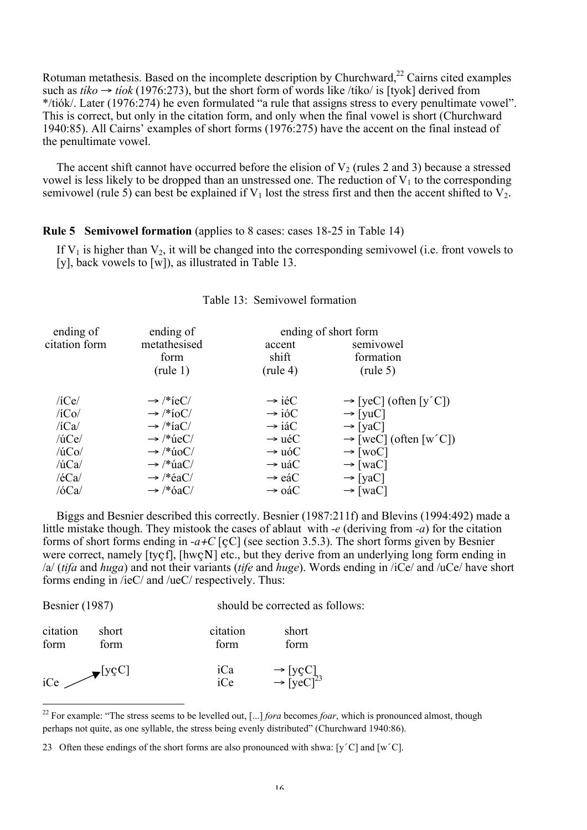Rotuman metathesis. Based on the incomplete description by Churchward, $^{22}$  Cairns cited examples such as  $tiko \rightarrow tiok$  (1976:273), but the short form of words like /tiko/ is [tyok] derived from \*/tiók/. Later (1976:274) he even formulated "a rule that assigns stress to every penultimate vowel". This is correct, but only in the citation form, and only when the final vowel is short (Churchward 1940:85). All Cairns' examples of short forms (1976:275) have the accent on the final instead of the penultimate vowel.

The accent shift cannot have occurred before the elision of  $V_2$  (rules 2 and 3) because a stressed vowel is less likely to be dropped than an unstressed one. The reduction of  $V_1$  to the corresponding semivowel (rule 5) can best be explained if  $V_1$  lost the stress first and then the accent shifted to  $V_2$ .

Rule 5 Semivowel formation (applies to 8 cases: cases 18-25 in Table 14)

If  $V_1$  is higher than  $V_2$ , it will be changed into the corresponding semivowel (i.e. front vowels to [y], back vowels to [w]), as illustrated in Table 13.

| ending of     | ending of                      |                    | ending of short form              |
|---------------|--------------------------------|--------------------|-----------------------------------|
| citation form | metathesised                   | accent             | semivowel                         |
|               | form                           | shift              | formation                         |
|               | $(\text{rule }1)$              | $(\text{rule } 4)$ | $(\text{rule } 5)$                |
| $/$ iCe $/$   | $\rightarrow$ /*ieC/           | $\rightarrow$ iéC  | $\rightarrow$ [yeC] (often [y'C]) |
| $/$ iCo $/$   | $\rightarrow$ /*ioC/           | $\rightarrow$ ióC  | $\rightarrow$ [yuC]               |
| /iCa/         | $\rightarrow$ /*iaC/           | $\rightarrow$ iáC  | $\rightarrow$ [yaC]               |
| /úCe/         | $\rightarrow$ /* $\text{ueC}/$ | $\rightarrow$ uéC  | $\rightarrow$ [weC] (often [w'C]) |
| $/$ ú $Co/$   | $\rightarrow$ /* úoC/          | $\rightarrow$ uóC  | $\rightarrow$ [woC]               |
| $/$ ú $Ca/$   | $\rightarrow$ /* úaC/          | $\rightarrow$ uáC  | $\rightarrow$ [waC]               |
| /eca/         | $\rightarrow$ /*éaC/           | $\rightarrow$ eáC  | $\rightarrow$ [yaC]               |
| /6Ca/         | $\rightarrow$ /*6aC/           | $\rightarrow$ oáC  | $\rightarrow$ [waC]               |
|               |                                |                    |                                   |

### Table 13: Semivowel formation

Biggs and Besnier described this correctly. Besnier (1987:211f) and Blevins (1994:492) made a little mistake though. They mistook the cases of ablaut with *-e* (deriving from *-a*) for the citation forms of short forms ending in *-a*+*C* [çC] (see section 3.5.3). The short forms given by Besnier were correct, namely [tyçf], [hwçN] etc., but they derive from an underlying long form ending in /a/ (*tifa* and *huga*) and not their variants (*tife* and *huge*). Words ending in /iCe/ and /uCe/ have short forms ending in /ieC/ and /ueC/ respectively. Thus:

| <b>Besnier</b> (1987) |                             | should be corrected as follows: |                                                          |  |  |
|-----------------------|-----------------------------|---------------------------------|----------------------------------------------------------|--|--|
| citation<br>form      | short<br>form               | citation<br>form                | short<br>form                                            |  |  |
| iCe                   | $\blacktriangleright$ [yçC] | iCa<br>iCe                      | $\rightarrow$ [yçC]<br>$\rightarrow$ [yeC] <sup>23</sup> |  |  |

<sup>&</sup>lt;sup>22</sup> For example: "The stress seems to be levelled out, [...] *fora* becomes *foar*, which is pronounced almost, though perhaps not quite, as one syllable, the stress being evenly distributed" (Churchward 1940:86).

<sup>23</sup> Often these endings of the short forms are also pronounced with shwa: [y´C] and [w´C].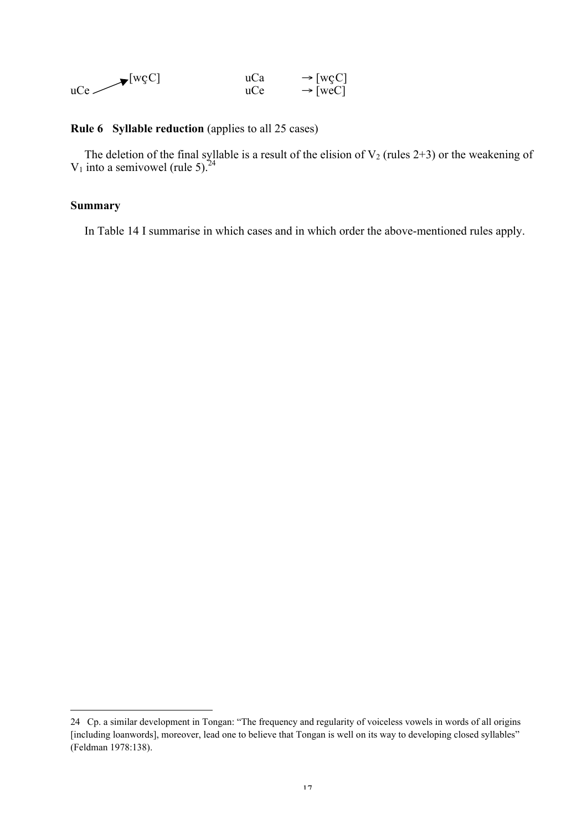| $\blacktriangleright$ [wçC] | uCa | $\rightarrow$ [wçC] |
|-----------------------------|-----|---------------------|
| uCe —                       | uCe | $\rightarrow$ [weC] |

### Rule 6 Syllable reduction (applies to all 25 cases)

The deletion of the final syllable is a result of the elision of  $V_2$  (rules 2+3) or the weakening of  $V_1$  into a semivowel (rule 5).<sup>24</sup>

### Summary

l

In Table 14 I summarise in which cases and in which order the above-mentioned rules apply.

<sup>24</sup> Cp. a similar development in Tongan: "The frequency and regularity of voiceless vowels in words of all origins [including loanwords], moreover, lead one to believe that Tongan is well on its way to developing closed syllables" (Feldman 1978:138).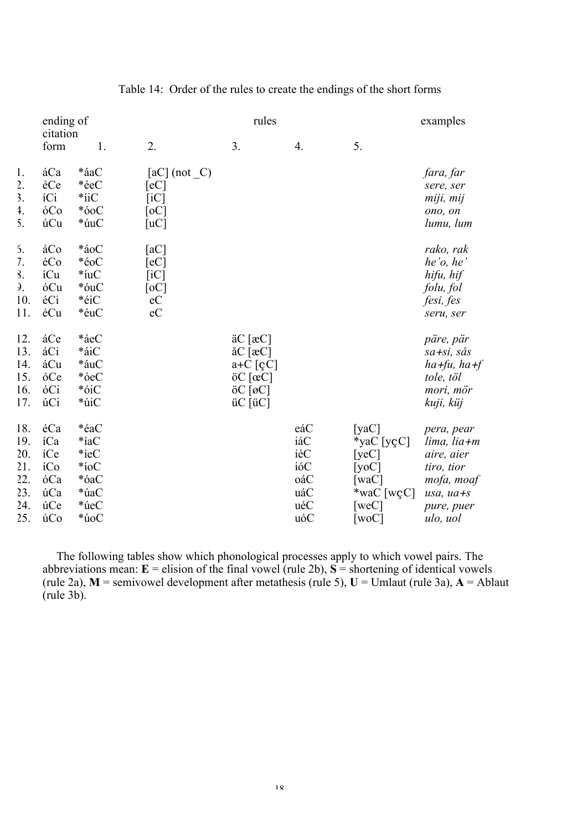|                           | ending of        |            |                    | rules                                      |     |                            | examples    |
|---------------------------|------------------|------------|--------------------|--------------------------------------------|-----|----------------------------|-------------|
|                           | citation<br>form | 1.         | 2.                 | 3.                                         | 4.  | 5.                         |             |
| 1.                        | áCa              | *áaC       | $[aC]$ (not $C$ )  |                                            |     |                            | fara, far   |
| $\overline{2}$ .          | éCe              | *éeC       | [eC]               |                                            |     |                            | sere, ser   |
| $\overline{\mathbf{3}}$ . | íCi              | $*$ iiC    | $\lceil iC \rceil$ |                                            |     |                            | miji, mij   |
| 4.                        | óCo              | $*60C$     | [oc]               |                                            |     |                            | ono, on     |
| 5.                        | úCu              | *úuC       | [uC]               |                                            |     |                            | lumu, lum   |
| 5.                        | áCo              | *áoC       | [aC]               |                                            |     |                            | rako, rak   |
| 7.                        | éCo              | *éoC       | [eC]               |                                            |     |                            | he'o, he'   |
| 3.                        | íCu              | $*$ íu $C$ | $\overline{[iC]}$  |                                            |     |                            | hifu, hif   |
| Э.                        | óCu              | *óuC       | $\lceil$ oC]       |                                            |     |                            | folu, fol   |
| 10.                       | éCi              | *éiC       | eC                 |                                            |     |                            | fesi, fes   |
| 11.                       | éCu              | *éuC       | $\rm e C$          |                                            |     |                            | seru, ser   |
| 12.                       | áCe              | *áeC       |                    | $\ddot{a}C[\dot{a}C]$                      |     |                            | päre, pär   |
| 13.                       | áCi              | *áiC       |                    | $\&C$ [ $\&C$ ]                            |     |                            | sa +si, sås |
| 14.                       | áCu              | *áuC       |                    | $a+C$ [çC]                                 |     |                            | ha+fu, ha+f |
| 15.                       | óCe              | *óeC       |                    | $\ddot{\mathrm{o}}$ C $[\mathrm{c}C]$      |     |                            | tole, töl   |
| 16.                       | óCi              | *óiC       |                    | $0C$ [ $0C$ ]                              |     |                            | mori, mör   |
| 17.                       | úCi              | *úiC       |                    | $\ddot{\text{u}}$ C [ $\ddot{\text{u}}$ C] |     |                            | kuji, küj   |
| 18.                       | éCa              | *éaC       |                    |                                            | eáC | [yaC]                      | pera, pear  |
| 19.                       | íCa              | $*$ íaC    |                    |                                            | iáC | *yaC [yçC]                 | lima, lia+m |
| 20.                       | íCe              | $*ieC$     |                    |                                            | iéC | [yeC]                      | aire, aier  |
| 21.                       | íCo              | $*$ ioC    |                    |                                            | ióC | [yoC]                      | tiro, tior  |
| 22.                       | óCa              | *óaC       |                    |                                            | oáC | [waC]                      | mofa, moaf  |
| 23.                       | úCa              | *úaC       |                    |                                            | uáC | *waC [wcC]                 | usa, ua+s   |
| 24.                       | úCe              | *úeC       |                    |                                            | uéC | [ $weC$ ]                  | pure, puer  |
| 25.                       | úCo              | $*$ úoC    |                    |                                            | uóC | $\lceil \text{woC} \rceil$ | ulo, uol    |

### Table 14: Order of the rules to create the endings of the short forms

The following tables show which phonological processes apply to which vowel pairs. The abbreviations mean:  $E =$  elision of the final vowel (rule 2b),  $S =$  shortening of identical vowels (rule 2a),  $M$  = semivowel development after metathesis (rule 5),  $U$  = Umlaut (rule 3a),  $A$  = Ablaut (rule 3b).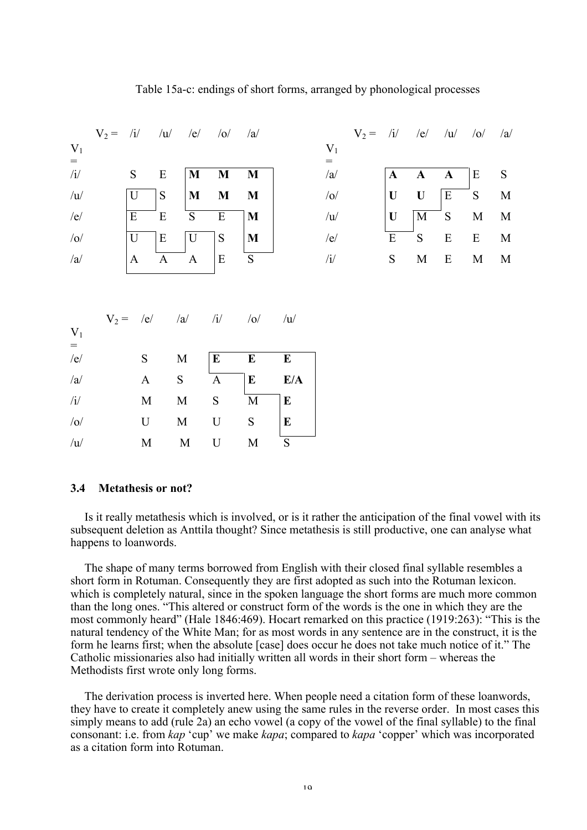# $V_2 = iI$  /u/ /e/ /o/ /a/  $V_2 = iI$  /e/ /u/ /o/ /a/  $V<sub>1</sub>$ =  $V_1$ = /i/ S E  $\vert$  M M M  $\vert$  /a/  $\vert$  A A  $\vert$  E S /u/  $\vert U \vert S \vert M M M \vert$  /o/  $\vert U \vert U \vert E S M$ /e/ E E S E M /u/ U M S M M /o/  $\qquad$   $\qquad$   $\qquad$   $\qquad$   $\qquad$   $\qquad$   $\qquad$   $\qquad$   $\qquad$   $\qquad$   $\qquad$   $\qquad$   $\qquad$   $\qquad$   $\qquad$   $\qquad$   $\qquad$   $\qquad$   $\qquad$   $\qquad$   $\qquad$   $\qquad$   $\qquad$   $\qquad$   $\qquad$   $\qquad$   $\qquad$   $\qquad$   $\qquad$   $\qquad$   $\qquad$   $\qquad$   $\qquad$   $\qquad$   $\qquad$   $\qquad$  /a/  $\begin{array}{|c|c|c|c|c|c|}\n\hline\nA & A & A & E & S & \hline\n\end{array}$  /i/  $\begin{array}{|c|c|c|c|c|}\n\hline\nS & M & E & M & M\n\end{array}$  $V_2 = /e/$  /a/ /i/ /o/ /u/  $V<sub>1</sub>$ = /e/ S M  $\mathbf{E}$  E E  $\sqrt{a}$  A S A E E/A  $\chi$  /i/ M M S M E  $\sqrt{\rm o}$  U M U S E  $\sqrt{u}$  M M U M S

### Table 15a-c: endings of short forms, arranged by phonological processes

### 3.4 Metathesis or not?

Is it really metathesis which is involved, or is it rather the anticipation of the final vowel with its subsequent deletion as Anttila thought? Since metathesis is still productive, one can analyse what happens to loanwords.

The shape of many terms borrowed from English with their closed final syllable resembles a short form in Rotuman. Consequently they are first adopted as such into the Rotuman lexicon. which is completely natural, since in the spoken language the short forms are much more common than the long ones. "This altered or construct form of the words is the one in which they are the most commonly heard" (Hale 1846:469). Hocart remarked on this practice (1919:263): "This is the natural tendency of the White Man; for as most words in any sentence are in the construct, it is the form he learns first; when the absolute [case] does occur he does not take much notice of it." The Catholic missionaries also had initially written all words in their short form – whereas the Methodists first wrote only long forms.

The derivation process is inverted here. When people need a citation form of these loanwords, they have to create it completely anew using the same rules in the reverse order. In most cases this simply means to add (rule 2a) an echo vowel (a copy of the vowel of the final syllable) to the final consonant: i.e. from *kap* 'cup' we make *kapa*; compared to *kapa* 'copper' which was incorporated as a citation form into Rotuman.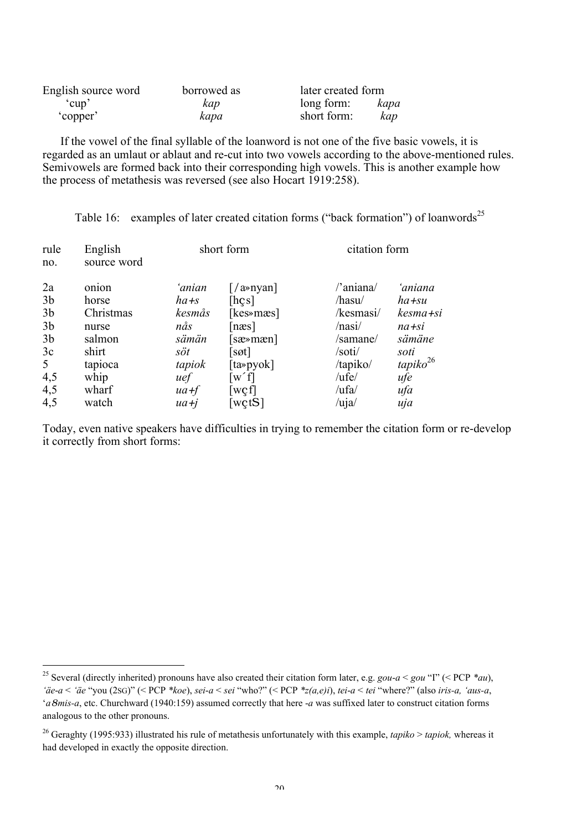| English source word | borrowed as | later created form |      |  |
|---------------------|-------------|--------------------|------|--|
| cup <sup>-</sup>    | kap         | long form:         | kapa |  |
| copper <sup>?</sup> | kapa        | short form:        | kap  |  |

If the vowel of the final syllable of the loanword is not one of the five basic vowels, it is regarded as an umlaut or ablaut and re-cut into two vowels according to the above-mentioned rules. Semivowels are formed back into their corresponding high vowels. This is another example how the process of metathesis was reversed (see also Hocart 1919:258).

| rule           | English     | short form |           | citation form           |                      |
|----------------|-------------|------------|-----------|-------------------------|----------------------|
| no.            | source word |            |           |                         |                      |
| 2a             | onion       | ʻanian     |           | /'aniana/               | 'aniana              |
| 3 <sub>b</sub> | horse       | $ha + s$   | [hes]     | /hasu/                  | ha+su                |
| 3 <sub>b</sub> | Christmas   | kesmås     | [kes»mæs] | /kesmasi/               | kesma +si            |
| 3 <sub>b</sub> | nurse       | nås        | [næs]     | /nasi/                  | $na + si$            |
| 3 <sub>b</sub> | salmon      | sämän      | [sæ»mæn]  | /samane/                | sämäne               |
| 3c             | shirt       | söt        | sot       | /soti/                  | soti                 |
| 5              | tapioca     | tapiok     | [ta»pyok] | /tapiko/                | tapiko <sup>26</sup> |
| 4,5            | whip        | uef        | $w'$ f    | /ufe/                   | ufe                  |
| 4,5            | wharf       | $ua + f$   | wcf       | /ufa/                   | ufa                  |
| 4,5            | watch       | $ua + i$   | [wtS]     | $\lambda$ uja $\lambda$ | uja                  |

Table 16: examples of later created citation forms ("back formation") of loanwords<sup>25</sup>

Today, even native speakers have difficulties in trying to remember the citation form or re-develop it correctly from short forms:

 <sup>25</sup> Several (directly inherited) pronouns have also created their citation form later, e.g. *gou*-*a* < *gou* "I" (< PCP *\*au*), *'äe*-*a* < *'äe* "you (2SG)" (< PCP *\*koe*), *sei*-*a* < *sei* "who?" (< PCP *\*z(a,e)i*), *tei*-*a* < *tei* "where?" (also *iris-a, 'aus-a*, '*a*8*mis-a*, etc. Churchward (1940:159) assumed correctly that here -*a* was suffixed later to construct citation forms analogous to the other pronouns.

<sup>26</sup> Geraghty (1995:933) illustrated his rule of metathesis unfortunately with this example, *tapiko* > *tapiok,* whereas it had developed in exactly the opposite direction.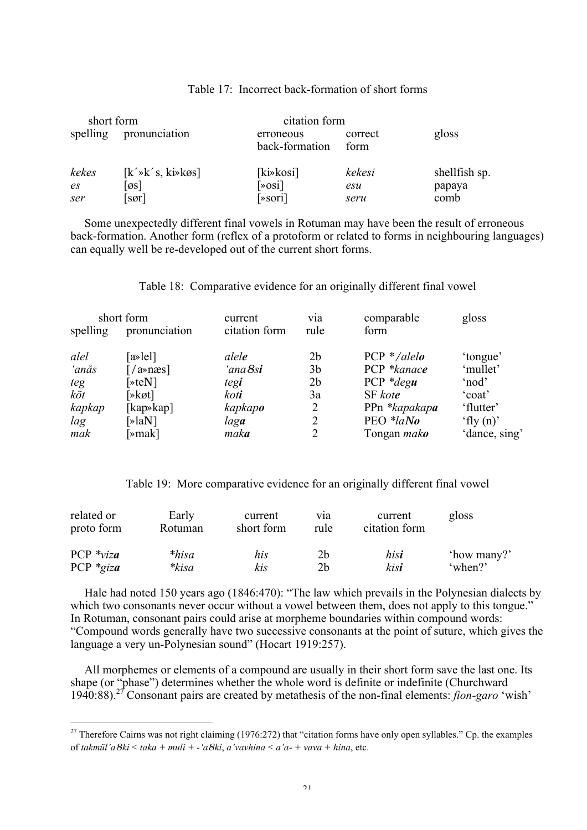| short form     |                                      |                                  | citation form   |               |  |
|----------------|--------------------------------------|----------------------------------|-----------------|---------------|--|
| spelling       | pronunciation                        | erroneous<br>back-formation      | correct<br>form | gloss         |  |
| kekes          | $[k' \ast k' s, k \ast k \otimes s]$ | $[k\rightarrow kosi]$            | kekesi          | shellfish sp. |  |
| e <sub>S</sub> | $\sigma$ s]                          | $\left[\times \text{osi}\right]$ | esu             | papaya        |  |
| ser            | $\sqrt{sqrt}$                        | $\sqrt{8}$ sori]                 | seru            | comb          |  |

#### Table 17: Incorrect back-formation of short forms

Some unexpectedly different final vowels in Rotuman may have been the result of erroneous back-formation. Another form (reflex of a protoform or related to forms in neighbouring languages) can equally well be re-developed out of the current short forms.

### Table 18: Comparative evidence for an originally different final vowel

| short form |                                             | current       | via            | comparable         | gloss         |
|------------|---------------------------------------------|---------------|----------------|--------------------|---------------|
| spelling   | pronunciation                               | citation form | rule           | form               |               |
| alel       | $[a \triangleright]$ lell                   | alele         | 2 <sub>b</sub> | $PCP * /alelo$     | 'tongue'      |
| 'anås      | $\lceil$ /a»næs]                            | 'ana 8si      | 3 <sub>b</sub> | PCP *kanace        | 'mullet'      |
| teg        | $\sqrt{\ast}$ eN]                           | tegi          | 2 <sub>b</sub> | $PCP * degu$       | 'nod'         |
| köt        | $\lceil \ast \mathsf{k} \mathsf{ot} \rceil$ | koti          | 3a             | SF kote            | 'coat'        |
| kapkap     | [kap»kap]                                   | kapkapo       | $\overline{2}$ | PPn *kapakapa      | 'flutter'     |
| lag        | $\lceil \ast \rceil$ aN]                    | laga          | 2              | PEO *laNo          | 'fly $(n)$ '  |
| mak        | $\mathbb{R}$ mak]                           | maka          | 2              | Tongan <i>mako</i> | 'dance, sing' |

Table 19: More comparative evidence for an originally different final vowel

| related or     | Early   | current    | via            | current       | gloss       |
|----------------|---------|------------|----------------|---------------|-------------|
| proto form     | Rotuman | short form | rule           | citation form |             |
| PCP $*_{viza}$ | $*hisa$ | his        | 2 <sub>b</sub> | his <b>i</b>  | 'how many?' |
| PCP $*_{giza}$ | *kisa   | kis        | 2 <sub>b</sub> | kisi          | 'when?'     |

Hale had noted 150 years ago (1846:470): "The law which prevails in the Polynesian dialects by which two consonants never occur without a vowel between them, does not apply to this tongue." In Rotuman, consonant pairs could arise at morpheme boundaries within compound words: "Compound words generally have two successive consonants at the point of suture, which gives the language a very un-Polynesian sound" (Hocart 1919:257).

All morphemes or elements of a compound are usually in their short form save the last one. Its shape (or "phase") determines whether the whole word is definite or indefinite (Churchward 1940:88).27 Consonant pairs are created by metathesis of the non-final elements: *fion-garo* 'wish'

<sup>&</sup>lt;sup>27</sup> Therefore Cairns was not right claiming (1976:272) that "citation forms have only open syllables." Cp. the examples of *takmül'a*8*ki* < *taka + muli + -'a*8*ki*, *a'vavhina* < *a'a- + vava + hina*, etc.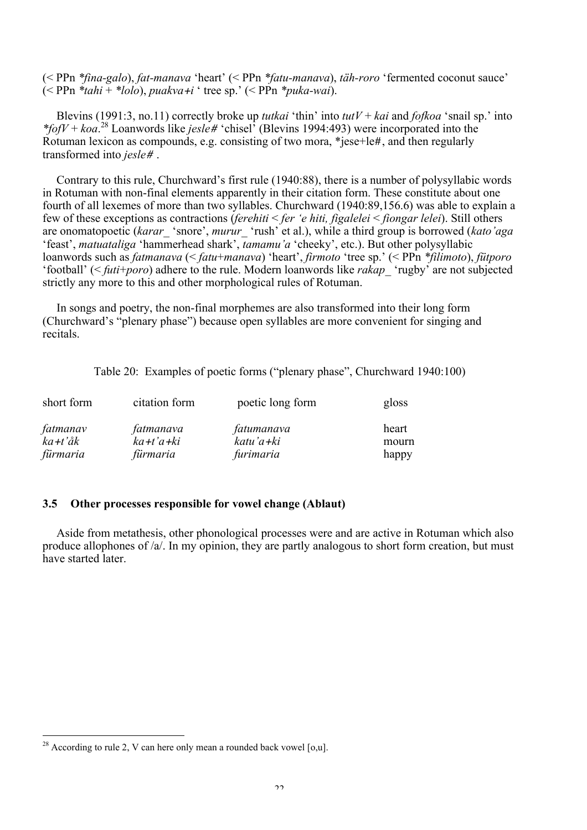(< PPn *\*fina-galo*), *fat-manava* 'heart' (< PPn *\*fatu-manava*), *täh-roro* 'fermented coconut sauce'  $\leq$  PPn  $*$ *tahi* +  $*$ *lolo*), *puakva* +*i* ' tree sp.'  $\leq$  PPn  $*$ *puka-wai*).

Blevins (1991:3, no.11) correctly broke up *tutkai* 'thin' into *tutV* + *kai* and *fofkoa* 'snail sp.' into *\*fofV* + *koa*. 28 Loanwords like *jesle*# 'chisel' (Blevins 1994:493) were incorporated into the Rotuman lexicon as compounds, e.g. consisting of two mora, \*jese+le#, and then regularly transformed into *jesle*# .

Contrary to this rule, Churchward's first rule (1940:88), there is a number of polysyllabic words in Rotuman with non-final elements apparently in their citation form. These constitute about one fourth of all lexemes of more than two syllables. Churchward (1940:89,156.6) was able to explain a few of these exceptions as contractions (*ferehiti* < *fer 'e hiti, figalelei* < *fiongar lelei*). Still others are onomatopoetic (*karar\_* 'snore', *murur\_* 'rush' et al.), while a third group is borrowed (*kato'aga* 'feast', *matuataliga* 'hammerhead shark', *tamamu'a* 'cheeky', etc.). But other polysyllabic loanwords such as *fatmanava* (< *fatu*+*manava*) 'heart', *firmoto* 'tree sp.' (< PPn *\*filimoto*), *fütporo* 'football' (< *futi*+*poro*) adhere to the rule. Modern loanwords like *rakap\_* 'rugby' are not subjected strictly any more to this and other morphological rules of Rotuman.

In songs and poetry, the non-final morphemes are also transformed into their long form (Churchward's "plenary phase") because open syllables are more convenient for singing and recitals.

Table 20: Examples of poetic forms ("plenary phase", Churchward 1940:100)

| short form | citation form | poetic long form | gloss |
|------------|---------------|------------------|-------|
| fatmanav   | fatmanava     | fatumanava       | heart |
| ka+t'åk    | ka+t'a+ki     | katu'a+ki        | mourn |
| fürmaria   | fürmaria      | furimaria        | happy |

### 3.5 Other processes responsible for vowel change (Ablaut)

Aside from metathesis, other phonological processes were and are active in Rotuman which also produce allophones of /a/. In my opinion, they are partly analogous to short form creation, but must have started later.

 $\frac{28}{2}$  According to rule 2, V can here only mean a rounded back vowel [0,u].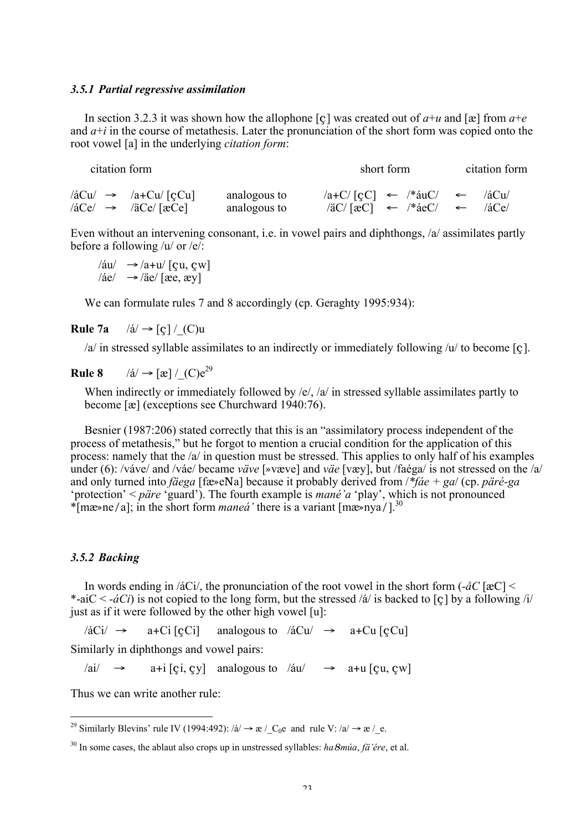#### *3.5.1 Partial regressive assimilation*

In section 3.2.3 it was shown how the allophone  $[c]$  was created out of  $a+u$  and  $[\mathbf{\alpha}]$  from  $a+e$ and  $a+i$  in the course of metathesis. Later the pronunciation of the short form was copied onto the root vowel [a] in the underlying *citation form*:

| citation form                                       |              | short form                                                                | citation form |
|-----------------------------------------------------|--------------|---------------------------------------------------------------------------|---------------|
| $\sqrt{a}Cu$ $\rightarrow$ $\sqrt{a}+Cu/\sqrt{c}Cu$ | analogous to | $ a+C/[cC] \leftarrow  * \text{áu}C  \leftarrow$                          | $/4$ Cu $/$   |
| $\sqrt{aCe}$ $\rightarrow$ $\sqrt{aCe}/[aCe]$       | analogous to | $\sqrt{a}C/\sqrt{ac}$ $\leftarrow$ $\sqrt{*}$ $\frac{ac}{c}$ $\leftarrow$ | $/4$ Ce $/$   |

Even without an intervening consonant, i.e. in vowel pairs and diphthongs, /a/ assimilates partly before a following /u/ or /e/:

/áu/  $\rightarrow$ /a+u/ [çu, çw]  $/$ áe $/ \rightarrow /$ äe $/$  [æe, æv]

We can formulate rules 7 and 8 accordingly (cp. Geraghty 1995:934):

Rule 7a  $/$ á $/$   $\rightarrow$  [c]  $/$  (C)u

/a/ in stressed syllable assimilates to an indirectly or immediately following /u/ to become [ç].

Rule 8 /á/  $\rightarrow$  [æ] / (C)e<sup>29</sup>

When indirectly or immediately followed by /e/, /a/ in stressed syllable assimilates partly to become [æ] (exceptions see Churchward 1940:76).

Besnier (1987:206) stated correctly that this is an "assimilatory process independent of the process of metathesis," but he forgot to mention a crucial condition for the application of this process: namely that the /a/ in question must be stressed. This applies to only half of his examples under (6): /váve/ and /váe/ became *väve* [»væve] and *väe* [væy], but /faéga/ is not stressed on the /a/ and only turned into *fäega* [fæ»eNa] because it probably derived from /*\*fáe + ga*/ (cp. *päré-ga* 'protection' < *päre* 'guard'). The fourth example is *mané'a* 'play', which is not pronounced \*[mæ»ne/a]; in the short form *maneá'* there is a variant [mæ»nya/].30

### *3.5.2 Backing*

In words ending in /áCi/, the pronunciation of the root vowel in the short form (*-åC* [æC] < \*-aiC < *-áCi*) is not copied to the long form, but the stressed /á/ is backed to  $[c]$  by a following /i/ just as if it were followed by the other high vowel [u]:

 $\angle A\ddot{c}$   $\rightarrow$  a+Ci [cCi] analogous to  $\angle A\ddot{c}$   $\rightarrow$  a+Cu [cCu] Similarly in diphthongs and vowel pairs:

 $\langle \text{ai} \rangle \rightarrow$  a+i [çi, çy] analogous to  $\langle \text{au} \rangle$   $\rightarrow$  a+u [cu, cw]

Thus we can write another rule:

<sup>&</sup>lt;sup>29</sup> Similarly Blevins' rule IV (1994:492): /á/  $\rightarrow \infty$  / C<sub>0</sub>e and rule V: /a/  $\rightarrow \infty$  / \_e.

<sup>30</sup> In some cases, the ablaut also crops up in unstressed syllables: *ha*8*múa*, *fä'ére*, et al.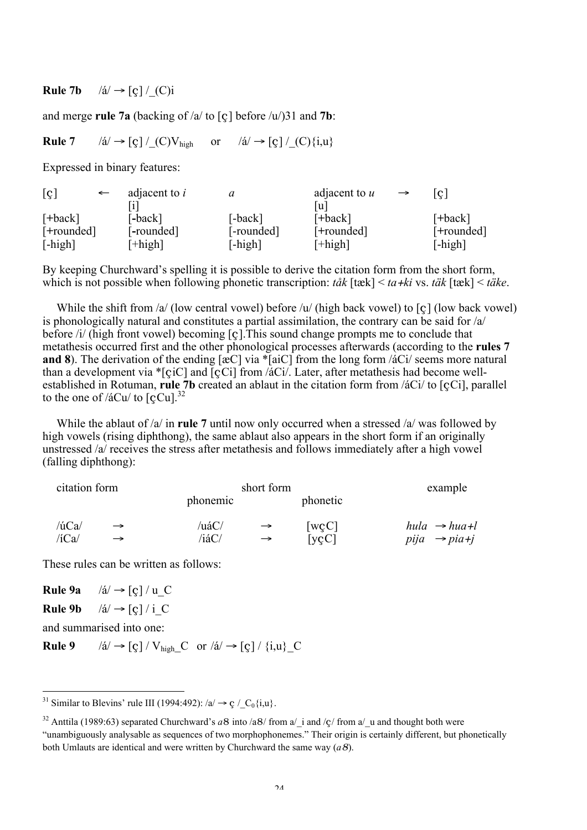Rule 7b  $/|a| \rightarrow |c| / (C)i$ 

and merge rule 7a (backing of  $/a$  to [c] before  $/u/31$  and 7b:

**Rule 7** /á/  $\rightarrow$  [ç] / (C)V<sub>high</sub> or /á/  $\rightarrow$  [c] / (C){i,u}

Expressed in binary features:

| $\lbrack \varsigma \rbrack$ | $\longleftarrow$ | adjacent to <i>i</i> |            | adjacent to u | $\rightarrow$ | c          |
|-----------------------------|------------------|----------------------|------------|---------------|---------------|------------|
|                             |                  |                      |            | u             |               |            |
| $[+back]$                   |                  | [-back]              | [-back]    | $[+back]$     |               | [+back]    |
| [+rounded]                  |                  | [-rounded]           | [-rounded] | [+rounded]    |               | [+rounded] |
| $[-high]$                   |                  | $[+high]$            | $[-high]$  | $[+high]$     |               | $[-high]$  |

By keeping Churchward's spelling it is possible to derive the citation form from the short form, which is not possible when following phonetic transcription: *tåk* [tæk] < *ta*+*ki* vs. *täk* [tæk] < *täke*.

While the shift from  $a$  (low central vowel) before  $a$  (high back vowel) to [c] (low back vowel) is phonologically natural and constitutes a partial assimilation, the contrary can be said for /a/ before /i/ (high front vowel) becoming [ç].This sound change prompts me to conclude that metathesis occurred first and the other phonological processes afterwards (according to the rules 7 and 8). The derivation of the ending  $[\alpha C]$  via \*[aiC] from the long form / $\alpha$ Ci/ seems more natural than a development via  $\ast$ [çiC] and [çCi] from /aCi/. Later, after metathesis had become wellestablished in Rotuman, rule 7b created an ablaut in the citation form from /áCi/ to [çCi], parallel to the one of / $\acute{a}$ Cu/ to  $\left[$ cCu $\right]$ .<sup>32</sup>

While the ablaut of  $/a$  in rule 7 until now only occurred when a stressed  $/a$  was followed by high vowels (rising diphthong), the same ablaut also appears in the short form if an originally unstressed /a/ receives the stress after metathesis and follows immediately after a high vowel (falling diphthong):

| citation form |               |          | short form    | example                    |                            |
|---------------|---------------|----------|---------------|----------------------------|----------------------------|
|               |               | phonemic |               | phonetic                   |                            |
| $/$ ú $Ca/$   | $\rightarrow$ | /uáC/    | $\rightarrow$ | [ $wcC$ ]                  | $hula \rightarrow hua + l$ |
| $/$ iCa $/$   | $\rightarrow$ | /iáC/    | $\rightarrow$ | $\lceil \text{vcC} \rceil$ | $piia \rightarrow pia+j$   |

These rules can be written as follows:

Rule 9a  $/ \acute{a}/ \rightarrow [c]/u$  C Rule 9b  $/ \acute{a}/ \rightarrow$  [c] / i\_C and summarised into one:

**Rule 9** /á/  $\rightarrow$  [ç] / V<sub>high</sub> C or /á/  $\rightarrow$  [ç] / {i,u} C

<sup>&</sup>lt;sup>31</sup> Similar to Blevins' rule III (1994:492): /a/  $\rightarrow$  ç / \_C<sub>0</sub>{i,u}.

<sup>&</sup>lt;sup>32</sup> Anttila (1989:63) separated Churchward's  $a8$  into  $\sqrt{a}8$  from a $\sqrt{\ }$  and  $\sqrt{\ }$  from a $\sqrt{\ }$  and thought both were "unambiguously analysable as sequences of two morphophonemes." Their origin is certainly different, but phonetically both Umlauts are identical and were written by Churchward the same way (*a*8).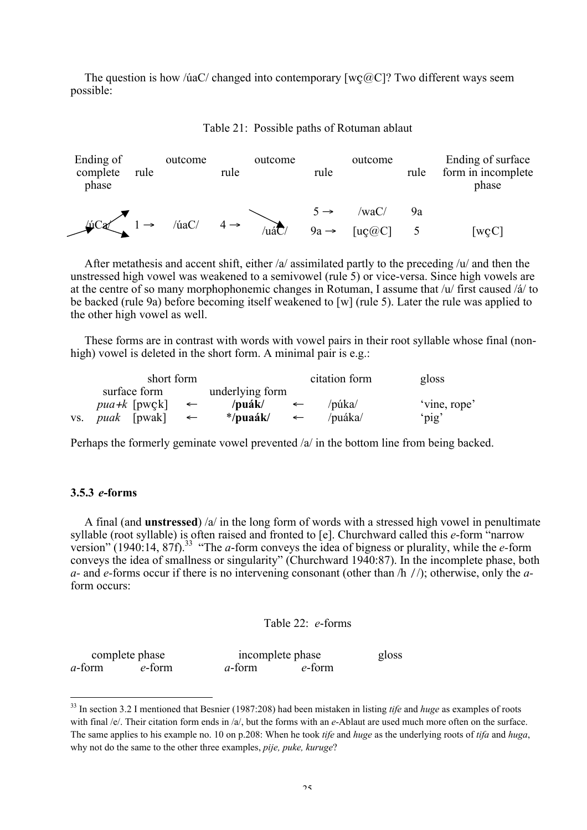The question is how /úaC/ changed into contemporary  $[w\phi \phi C]$ ? Two different ways seem possible:

| Ending of<br>complete<br>phase | rule | outcome           | rule            | outcome | rule             | outcome | rule | Ending of surface<br>form in incomplete<br>phase |
|--------------------------------|------|-------------------|-----------------|---------|------------------|---------|------|--------------------------------------------------|
|                                |      |                   |                 |         |                  | /waC/   | 9a   |                                                  |
| LúCa                           |      | $\langle$ úaC $/$ | $4 \rightarrow$ | ′uáC    | $9a \rightarrow$ | [uc@C]  |      | [wcC]                                            |



After metathesis and accent shift, either  $\alpha$  assimilated partly to the preceding  $\alpha$  and then the unstressed high vowel was weakened to a semivowel (rule 5) or vice-versa. Since high vowels are at the centre of so many morphophonemic changes in Rotuman, I assume that /u/ first caused /á/ to be backed (rule 9a) before becoming itself weakened to [w] (rule 5). Later the rule was applied to the other high vowel as well.

These forms are in contrast with words with vowel pairs in their root syllable whose final (nonhigh) vowel is deleted in the short form. A minimal pair is e.g.:

|     | short form              |              |                 |              | citation form | gloss        |
|-----|-------------------------|--------------|-----------------|--------------|---------------|--------------|
|     | surface form            |              | underlying form |              |               |              |
|     | <i>pua</i> + $k$ [pwck] | $\leftarrow$ | /puák/          |              | /púka/        | 'vine, rope' |
| VS. | <i>puak</i> [pwak]      |              | */puaák/        | $\leftarrow$ | /puáka/       | 'pig'        |

Perhaps the formerly geminate vowel prevented /a/ in the bottom line from being backed.

### 3.5.3 *e*-forms

A final (and **unstressed**)  $\alpha$  in the long form of words with a stressed high vowel in penultimate syllable (root syllable) is often raised and fronted to [e]. Churchward called this *e*-form "narrow version" (1940:14, 87f).<sup>33</sup> "The *a*-form conveys the idea of bigness or plurality, while the *e*-form conveys the idea of smallness or singularity" (Churchward 1940:87). In the incomplete phase, both *a-* and *e-*forms occur if there is no intervening consonant (other than /h //); otherwise, only the *a*form occurs:

Table 22: *e*-forms

| complete phase |        |                | incomplete phase |  |
|----------------|--------|----------------|------------------|--|
| <i>a</i> -form | e-form | <i>a</i> -form | e-form           |  |

 <sup>33</sup> In section 3.2 I mentioned that Besnier (1987:208) had been mistaken in listing *tife* and *huge* as examples of roots with final /e/. Their citation form ends in /a/, but the forms with an *e*-Ablaut are used much more often on the surface. The same applies to his example no. 10 on p.208: When he took *tife* and *huge* as the underlying roots of *tifa* and *huga*, why not do the same to the other three examples, *pije, puke, kuruge*?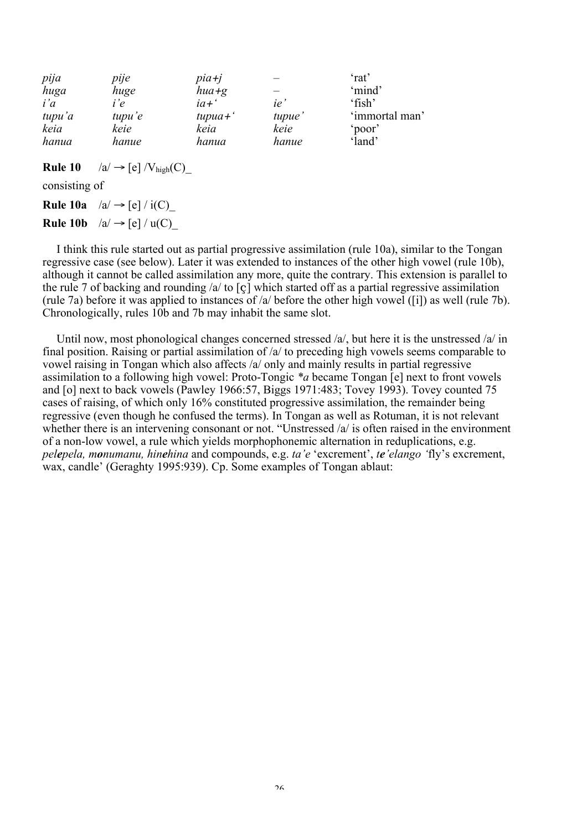| pija   | pije   | pia+j       |        | 'rat'          |
|--------|--------|-------------|--------|----------------|
| huga   | huge   | $hua + g$   |        | 'mind'         |
| i'a    | i'e    | $ia+$       | ie     | 'fish'         |
| tupu'a | tupu'e | $tupua + '$ | tupue' | 'immortal man' |
| keia   | keie   | keia        | keie   | 'poor'         |
| hanua  | hanue  | hanua       | hanue  | 'land'         |

**Rule 10** 
$$
\quad
$$
 /a/  $\rightarrow$  [e] /V<sub>high</sub>(C)

consisting of

**Rule 10a**  $\left| \alpha \right| \rightarrow$  [e]  $\left| i(C) \right|$ **Rule 10b**  $\text{/a/} \rightarrow \text{[e] / u(C)}$ 

I think this rule started out as partial progressive assimilation (rule 10a), similar to the Tongan regressive case (see below). Later it was extended to instances of the other high vowel (rule 10b), although it cannot be called assimilation any more, quite the contrary. This extension is parallel to the rule 7 of backing and rounding /a/ to [ç] which started off as a partial regressive assimilation (rule 7a) before it was applied to instances of /a/ before the other high vowel ([i]) as well (rule 7b). Chronologically, rules 10b and 7b may inhabit the same slot.

Until now, most phonological changes concerned stressed /a/, but here it is the unstressed /a/ in final position. Raising or partial assimilation of /a/ to preceding high vowels seems comparable to vowel raising in Tongan which also affects /a/ only and mainly results in partial regressive assimilation to a following high vowel: Proto-Tongic *\*a* became Tongan [e] next to front vowels and [o] next to back vowels (Pawley 1966:57, Biggs 1971:483; Tovey 1993). Tovey counted 75 cases of raising, of which only 16% constituted progressive assimilation, the remainder being regressive (even though he confused the terms). In Tongan as well as Rotuman, it is not relevant whether there is an intervening consonant or not. "Unstressed /a/ is often raised in the environment of a non-low vowel, a rule which yields morphophonemic alternation in reduplications, e.g. *pelepela, monumanu, hinehina* and compounds, e.g. *ta'e* 'excrement', *te'elango '*fly's excrement, wax, candle' (Geraghty 1995:939). Cp. Some examples of Tongan ablaut: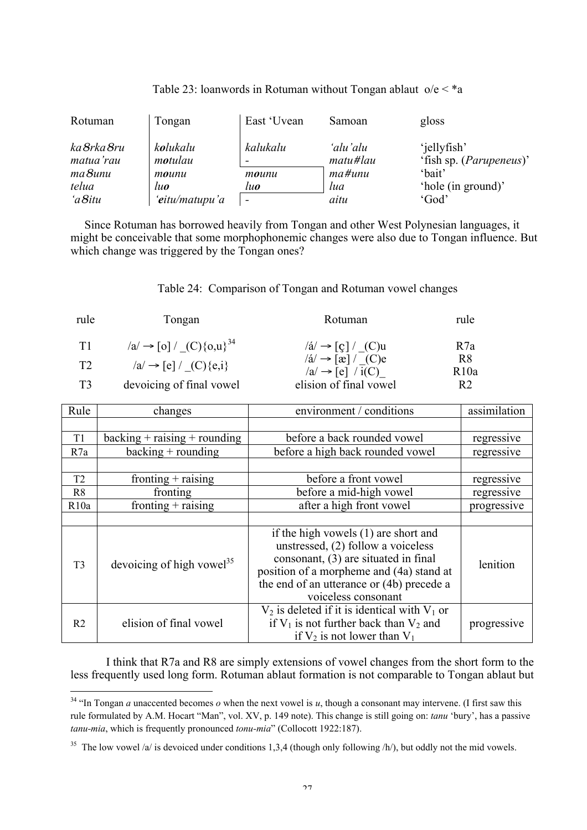| Rotuman                  | Tongan              | East 'Uvean | Samoan               | gloss                                           |
|--------------------------|---------------------|-------------|----------------------|-------------------------------------------------|
| ka 8rka 8ru<br>matua'rau | kolukalu<br>motulau | kalukalu    | 'alu'alu<br>matu#lau | 'jellyfish'<br>'fish sp. ( <i>Parupeneus</i> )' |
| $ma8$ unu                | mounu               | mounu       | $ma$ #unu            | 'bait'                                          |
| telua                    | luo                 | luo         | lua                  | 'hole (in ground)'                              |
| 'a Situ                  | 'eitu/matupu'a      |             | aitu                 | 'God'                                           |

| Table 23: loanwords in Rotuman without Tongan ablaut $o/e < *a$ |  |  |  |  |
|-----------------------------------------------------------------|--|--|--|--|
|                                                                 |  |  |  |  |

Since Rotuman has borrowed heavily from Tongan and other West Polynesian languages, it might be conceivable that some morphophonemic changes were also due to Tongan influence. But which change was triggered by the Tongan ones?

## Table 24: Comparison of Tongan and Rotuman vowel changes

| rule | Tongan                                    | Rotuman                                                                                                     | rule           |
|------|-------------------------------------------|-------------------------------------------------------------------------------------------------------------|----------------|
| T1   | $ a  \rightarrow  0  / (C) \{0, u\}^{34}$ | $\text{/}\acute{a}\text{/}\rightarrow\lceil\text{c}\rceil\text{/}$ (C)u                                     | R7a            |
| T2   | $ a  \rightarrow  e  / (C) \{e, i\}$      | $\text{/}\acute{a}\text{/}\rightarrow\lceil \text{ }x \rceil \text{/}$ (C)e<br>$ a  \rightarrow  e  / i(C)$ | R8<br>R10a     |
| T3   | devoicing of final vowel                  | elision of final vowel                                                                                      | R <sub>2</sub> |

| Rule           | changes                               | environment / conditions                                                                                                                                                                                                           | assimilation |
|----------------|---------------------------------------|------------------------------------------------------------------------------------------------------------------------------------------------------------------------------------------------------------------------------------|--------------|
|                |                                       |                                                                                                                                                                                                                                    |              |
| T1             | $backing + raising + rounding$        | before a back rounded vowel                                                                                                                                                                                                        | regressive   |
| R7a            | $backing + rounding$                  | before a high back rounded vowel                                                                                                                                                                                                   | regressive   |
|                |                                       |                                                                                                                                                                                                                                    |              |
| T <sub>2</sub> | fronting $+$ raising                  | before a front vowel                                                                                                                                                                                                               | regressive   |
| R <sub>8</sub> | fronting                              | before a mid-high vowel                                                                                                                                                                                                            | regressive   |
| R10a           | fronting $+$ raising                  | after a high front vowel                                                                                                                                                                                                           | progressive  |
|                |                                       |                                                                                                                                                                                                                                    |              |
| T <sub>3</sub> | devoicing of high vowel <sup>35</sup> | if the high vowels (1) are short and<br>unstressed, (2) follow a voiceless<br>consonant, (3) are situated in final<br>position of a morpheme and (4a) stand at<br>the end of an utterance or (4b) precede a<br>voiceless consonant | lenition     |
| R <sub>2</sub> | elision of final vowel                | $V_2$ is deleted if it is identical with $V_1$ or<br>if $V_1$ is not further back than $V_2$ and<br>if $V_2$ is not lower than $V_1$                                                                                               | progressive  |

I think that R7a and R8 are simply extensions of vowel changes from the short form to the less frequently used long form. Rotuman ablaut formation is not comparable to Tongan ablaut but

<sup>&</sup>lt;sup>34</sup> "In Tongan *a* unaccented becomes *o* when the next vowel is *u*, though a consonant may intervene. (I first saw this rule formulated by A.M. Hocart "Man", vol. XV, p. 149 note). This change is still going on: *tanu* 'bury', has a passive *tanu-mia*, which is frequently pronounced *tonu-mia*" (Collocott 1922:187).

<sup>&</sup>lt;sup>35</sup> The low vowel /a/ is devoiced under conditions 1,3,4 (though only following /h/), but oddly not the mid vowels.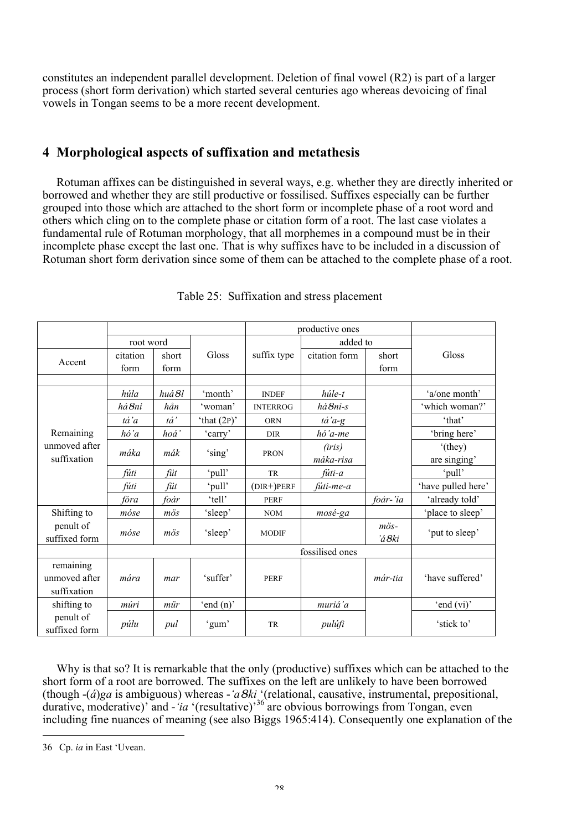constitutes an independent parallel development. Deletion of final vowel (R2) is part of a larger process (short form derivation) which started several centuries ago whereas devoicing of final vowels in Tongan seems to be a more recent development.

### 4 Morphological aspects of suffixation and metathesis

Rotuman affixes can be distinguished in several ways, e.g. whether they are directly inherited or borrowed and whether they are still productive or fossilised. Suffixes especially can be further grouped into those which are attached to the short form or incomplete phase of a root word and others which cling on to the complete phase or citation form of a root. The last case violates a fundamental rule of Rotuman morphology, that all morphemes in a compound must be in their incomplete phase except the last one. That is why suffixes have to be included in a discussion of Rotuman short form derivation since some of them can be attached to the complete phase of a root.

|               |           |                  | productive ones |                 |               |                |                    |
|---------------|-----------|------------------|-----------------|-----------------|---------------|----------------|--------------------|
|               | root word |                  |                 |                 | added to      |                |                    |
| Accent        | citation  | short            | Gloss           | suffix type     | citation form | short          | Gloss              |
|               | form      | form             |                 |                 |               | form           |                    |
|               |           |                  |                 |                 |               |                |                    |
|               | húla      | huá 8l           | 'month'         | <b>INDEF</b>    | húle-t        |                | 'a/one month'      |
|               | há 8ni    | hån              | 'woman'         | <b>INTERROG</b> | há8ni-s       |                | 'which woman?'     |
|               | tá'a      | tá'              | 'that $(2P)$ '  | <b>ORN</b>      | tá'a-g        |                | 'that'             |
| Remaining     | hó'a      | hoá <sup>'</sup> | 'carry'         | <b>DIR</b>      | hó'a-me       |                | 'bring here'       |
| unmoved after | máka      |                  |                 |                 | (iris)        |                | '(they)            |
| suffixation   |           | mák              | 'sing'          | <b>PRON</b>     | máka-risa     |                | are singing'       |
|               | fúti      | füt              | 'pull'          | TR              | fúti-a        |                | 'pull'             |
|               | fúti      | füt              | 'pull'          | $(DIR+)PERF$    | fúti-me-a     |                | 'have pulled here' |
|               | fóra      | foár             | 'tell'          | <b>PERF</b>     |               | foár-'ia       | 'already told'     |
| Shifting to   | móse      | $m\ddot{o}s$     | 'sleep'         | <b>NOM</b>      | mosé-ga       |                | 'place to sleep'   |
| penult of     | móse      | $m\ddot{o}s$     |                 | <b>MODIF</b>    |               | $m\ddot{o}s$ - | 'put to sleep'     |
| suffixed form |           |                  | 'sleep'         |                 |               | 'á8ki          |                    |
|               |           |                  |                 | fossilised ones |               |                |                    |
| remaining     |           |                  |                 |                 |               |                |                    |
| unmoved after | mára      | mar              | 'suffer'        | <b>PERF</b>     |               | már-tia        | 'have suffered'    |
| suffixation   |           |                  |                 |                 |               |                |                    |
| shifting to   | múri      | mür              | 'end $(n)$ '    |                 | muriá'a       |                | 'end $(vi)$ '      |
| penult of     |           |                  |                 |                 |               |                | 'stick to'         |
| suffixed form | púlu      | pul              | 'gum'           | <b>TR</b>       | pulúfi        |                |                    |

Table 25: Suffixation and stress placement

Why is that so? It is remarkable that the only (productive) suffixes which can be attached to the short form of a root are borrowed. The suffixes on the left are unlikely to have been borrowed (though -(*á*)*ga* is ambiguous) whereas -*'a*8*ki* '(relational, causative, instrumental, prepositional, durative, moderative)' and - '*ia* '(resultative)<sup>36</sup> are obvious borrowings from Tongan, even including fine nuances of meaning (see also Biggs 1965:414). Consequently one explanation of the

 $\overline{a}$ 

<sup>36</sup> Cp. *ia* in East 'Uvean.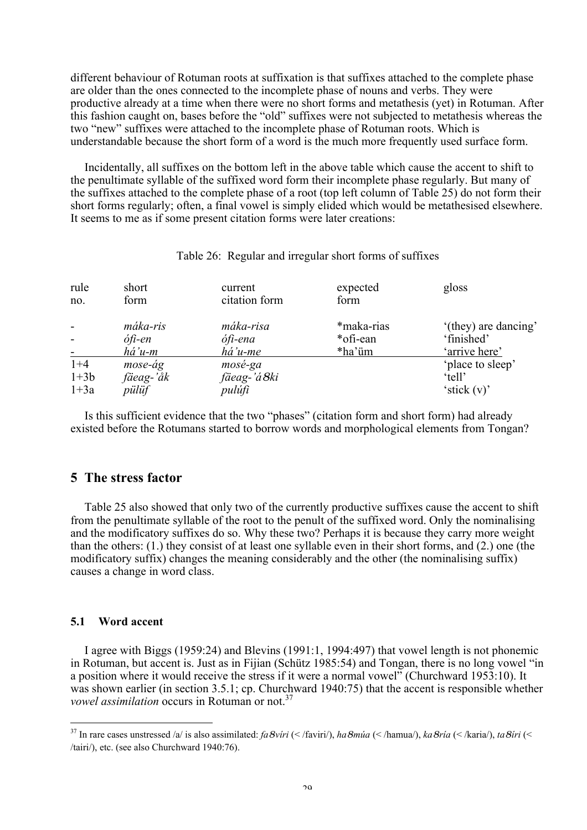different behaviour of Rotuman roots at suffixation is that suffixes attached to the complete phase are older than the ones connected to the incomplete phase of nouns and verbs. They were productive already at a time when there were no short forms and metathesis (yet) in Rotuman. After this fashion caught on, bases before the "old" suffixes were not subjected to metathesis whereas the two "new" suffixes were attached to the incomplete phase of Rotuman roots. Which is understandable because the short form of a word is the much more frequently used surface form.

Incidentally, all suffixes on the bottom left in the above table which cause the accent to shift to the penultimate syllable of the suffixed word form their incomplete phase regularly. But many of the suffixes attached to the complete phase of a root (top left column of Table 25) do not form their short forms regularly; often, a final vowel is simply elided which would be metathesised elsewhere. It seems to me as if some present citation forms were later creations:

| rule<br>no.       | short<br>form        | current<br>citation form | expected<br>form | gloss                      |
|-------------------|----------------------|--------------------------|------------------|----------------------------|
|                   | máka-ris             | máka-risa                | *maka-rias       | '(they) are dancing'       |
|                   | ófi-en               | ófi-ena                  | *ofi-ean         | 'finished'                 |
|                   | há'u-m               | há'u-me                  | *ha'üm           | 'arrive here'              |
| $1 + 4$<br>$1+3b$ | mose-ág<br>fäeag-'åk | mosé-ga<br>fäeag-'á8ki   |                  | 'place to sleep'<br>'tell' |
| $1+3a$            | pülüf                | pulúfi                   |                  | 'stick $(v)$ '             |

### Table 26: Regular and irregular short forms of suffixes

Is this sufficient evidence that the two "phases" (citation form and short form) had already existed before the Rotumans started to borrow words and morphological elements from Tongan?

### 5 The stress factor

Table 25 also showed that only two of the currently productive suffixes cause the accent to shift from the penultimate syllable of the root to the penult of the suffixed word. Only the nominalising and the modificatory suffixes do so. Why these two? Perhaps it is because they carry more weight than the others: (1.) they consist of at least one syllable even in their short forms, and (2.) one (the modificatory suffix) changes the meaning considerably and the other (the nominalising suffix) causes a change in word class.

### 5.1 Word accent

I agree with Biggs (1959:24) and Blevins (1991:1, 1994:497) that vowel length is not phonemic in Rotuman, but accent is. Just as in Fijian (Schütz 1985:54) and Tongan, there is no long vowel "in a position where it would receive the stress if it were a normal vowel" (Churchward 1953:10). It was shown earlier (in section 3.5.1; cp. Churchward 1940:75) that the accent is responsible whether *vowel assimilation* occurs in Rotuman or not.<sup>37</sup>

 <sup>37</sup> In rare cases unstressed /a/ is also assimilated: *fa*8*víri* (< /faviri/), *ha*8*múa* (< /hamua/), *ka*8*ría* (< /karia/), *ta*8*íri* (< /tairi/), etc. (see also Churchward 1940:76).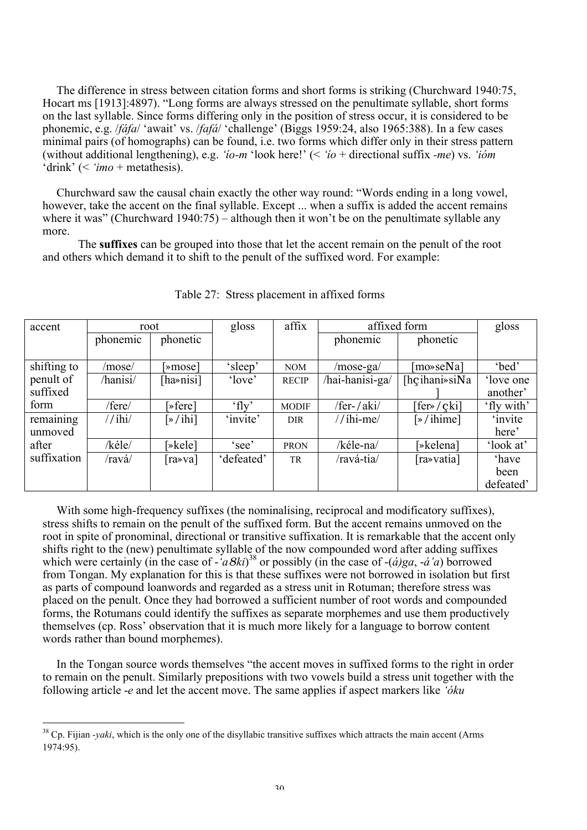The difference in stress between citation forms and short forms is striking (Churchward 1940:75, Hocart ms [1913]:4897). "Long forms are always stressed on the penultimate syllable, short forms on the last syllable. Since forms differing only in the position of stress occur, it is considered to be phonemic, e.g. /*fáfa*/ 'await' vs. /*fafá*/ 'challenge' (Biggs 1959:24, also 1965:388). In a few cases minimal pairs (of homographs) can be found, i.e. two forms which differ only in their stress pattern (without additional lengthening), e.g. *'ío-m* 'look here!' (< *'ío* + directional suffix *-me*) vs. *'ióm* 'drink' (< *'imo* + metathesis).

Churchward saw the causal chain exactly the other way round: "Words ending in a long vowel, however, take the accent on the final syllable. Except ... when a suffix is added the accent remains where it was" (Churchward 1940:75) – although then it won't be on the penultimate syllable any more.

The suffixes can be grouped into those that let the accent remain on the penult of the root and others which demand it to shift to the penult of the suffixed word. For example:

| accent      | root     |                      | gloss      | affix        | affixed form    |                       | gloss          |
|-------------|----------|----------------------|------------|--------------|-----------------|-----------------------|----------------|
|             | phonemic | phonetic             |            |              | phonemic        | phonetic              |                |
|             |          |                      |            |              |                 |                       |                |
| shifting to | /mose/   | >mose                | 'sleep'    | <b>NOM</b>   | /mose-ga/       | [mo»seNa]             | 'bed'          |
| penult of   | /hanisi/ | [ha»nisi]            | 'love'     | <b>RECIP</b> | /hai-hanisi-ga/ | [ $h$ çihani» $s$ iNa | 'love one      |
| suffixed    |          |                      |            |              |                 |                       | another'       |
| form        | /fere/   | $\sqrt{\text{er}}$   | $'$ fly'   | <b>MODIF</b> | /fer-/aki/      | [fer»/çki]            | 'fly with'     |
| remaining   | //ihi/   | $\sqrt{\frac{1}{1}}$ | 'invite'   | <b>DIR</b>   | $//ihi-me/$     | $\sqrt{\frac{1}{2}}$  | <i>'invite</i> |
| unmoved     |          |                      |            |              |                 |                       | here'          |
| after       | /kéle/   | [»kele]              | 'see'      | <b>PRON</b>  | /kéle-na/       | [»kelena]             | 'look at'      |
| suffixation | /ravá/   | [ra»va]              | 'defeated' | TR           | /ravá-tia/      | [ra»vatia]            | 'have          |
|             |          |                      |            |              |                 |                       | been           |
|             |          |                      |            |              |                 |                       | defeated'      |

Table 27: Stress placement in affixed forms

With some high-frequency suffixes (the nominalising, reciprocal and modificatory suffixes), stress shifts to remain on the penult of the suffixed form. But the accent remains unmoved on the root in spite of pronominal, directional or transitive suffixation. It is remarkable that the accent only shifts right to the (new) penultimate syllable of the now compounded word after adding suffixes which were certainly (in the case of  $-\hat{a}8k$ *i*)<sup>38</sup> or possibly (in the case of  $-(\hat{a})ga$ ,  $-\hat{a}'a$ ) borrowed from Tongan. My explanation for this is that these suffixes were not borrowed in isolation but first as parts of compound loanwords and regarded as a stress unit in Rotuman; therefore stress was placed on the penult. Once they had borrowed a sufficient number of root words and compounded forms, the Rotumans could identify the suffixes as separate morphemes and use them productively themselves (cp. Ross' observation that it is much more likely for a language to borrow content words rather than bound morphemes).

In the Tongan source words themselves "the accent moves in suffixed forms to the right in order to remain on the penult. Similarly prepositions with two vowels build a stress unit together with the following article -*e* and let the accent move. The same applies if aspect markers like *'óku*

<sup>&</sup>lt;sup>38</sup> Cp. Fijian *-yaki*, which is the only one of the disyllabic transitive suffixes which attracts the main accent (Arms 1974:95).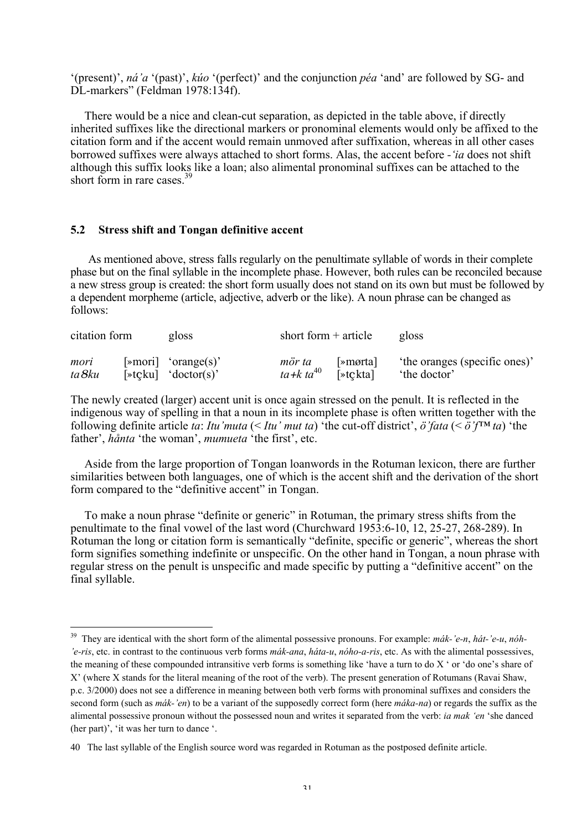'(present)', *ná'a* '(past)', *kúo* '(perfect)' and the conjunction *péa* 'and' are followed by SG- and DL-markers" (Feldman 1978:134f).

There would be a nice and clean-cut separation, as depicted in the table above, if directly inherited suffixes like the directional markers or pronominal elements would only be affixed to the citation form and if the accent would remain unmoved after suffixation, whereas in all other cases borrowed suffixes were always attached to short forms. Alas, the accent before *-'ia* does not shift although this suffix looks like a loan; also alimental pronominal suffixes can be attached to the short form in rare cases  $39$ 

### 5.2 Stress shift and Tongan definitive accent

As mentioned above, stress falls regularly on the penultimate syllable of words in their complete phase but on the final syllable in the incomplete phase. However, both rules can be reconciled because a new stress group is created: the short form usually does not stand on its own but must be followed by a dependent morpheme (article, adjective, adverb or the like). A noun phrase can be changed as follows:

| citation form | gloss                                      | short form $+$ article |                             | gloss                         |
|---------------|--------------------------------------------|------------------------|-----------------------------|-------------------------------|
| mori          | $[\triangleright \text{mori}]$ 'orange(s)' | mör ta                 | $\vert \text{emorta} \vert$ | 'the oranges (specific ones)' |
| ta 8ku        | $[\ast$ tcku] 'doctor(s)'                  | ta+k ta <sup>40</sup>  | $\triangleright$ tcktal     | the doctor                    |

The newly created (larger) accent unit is once again stressed on the penult. It is reflected in the indigenous way of spelling in that a noun in its incomplete phase is often written together with the following definite article *ta*: *Itu'muta* (< *Itu' mut ta*) 'the cut-off district', *ö'fata* (< *ö'f™ ta*) 'the father', *hånta* 'the woman', *mumueta* 'the first', etc.

Aside from the large proportion of Tongan loanwords in the Rotuman lexicon, there are further similarities between both languages, one of which is the accent shift and the derivation of the short form compared to the "definitive accent" in Tongan.

To make a noun phrase "definite or generic" in Rotuman, the primary stress shifts from the penultimate to the final vowel of the last word (Churchward 1953:6-10, 12, 25-27, 268-289). In Rotuman the long or citation form is semantically "definite, specific or generic", whereas the short form signifies something indefinite or unspecific. On the other hand in Tongan, a noun phrase with regular stress on the penult is unspecific and made specific by putting a "definitive accent" on the final syllable.

 <sup>39</sup> They are identical with the short form of the alimental possessive pronouns. For example: *mák-'e-n*, *hát-'e-u*, *nóh- 'e-ris*, etc. in contrast to the continuous verb forms *mák-ana*, *háta-u*, *nóho-a-ris*, etc. As with the alimental possessives, the meaning of these compounded intransitive verb forms is something like 'have a turn to do X ' or 'do one's share of X' (where X stands for the literal meaning of the root of the verb). The present generation of Rotumans (Ravai Shaw, p.c. 3/2000) does not see a difference in meaning between both verb forms with pronominal suffixes and considers the second form (such as *mák-'en*) to be a variant of the supposedly correct form (here *máka-na*) or regards the suffix as the alimental possessive pronoun without the possessed noun and writes it separated from the verb: *ia mak 'en* 'she danced (her part)', 'it was her turn to dance '.

<sup>40</sup> The last syllable of the English source word was regarded in Rotuman as the postposed definite article.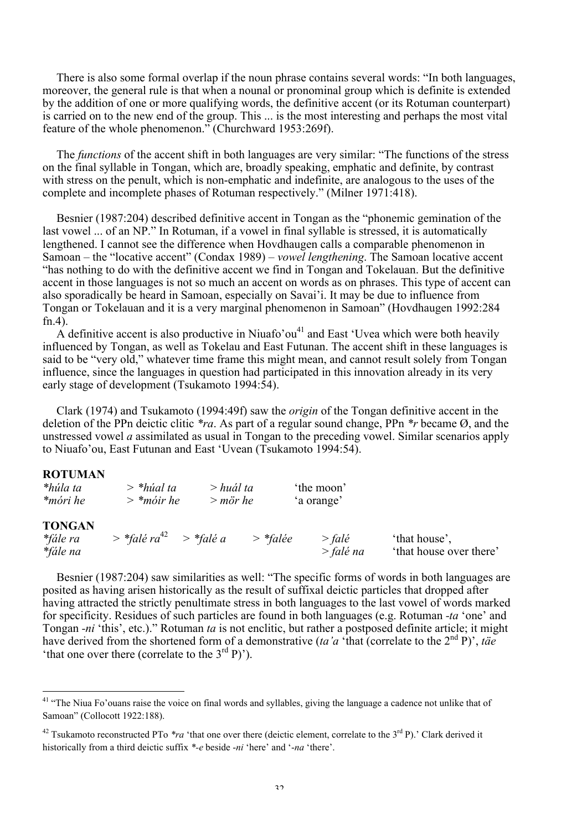There is also some formal overlap if the noun phrase contains several words: "In both languages, moreover, the general rule is that when a nounal or pronominal group which is definite is extended by the addition of one or more qualifying words, the definitive accent (or its Rotuman counterpart) is carried on to the new end of the group. This ... is the most interesting and perhaps the most vital feature of the whole phenomenon." (Churchward 1953:269f).

The *functions* of the accent shift in both languages are very similar: "The functions of the stress on the final syllable in Tongan, which are, broadly speaking, emphatic and definite, by contrast with stress on the penult, which is non-emphatic and indefinite, are analogous to the uses of the complete and incomplete phases of Rotuman respectively." (Milner 1971:418).

Besnier (1987:204) described definitive accent in Tongan as the "phonemic gemination of the last vowel ... of an NP." In Rotuman, if a vowel in final syllable is stressed, it is automatically lengthened. I cannot see the difference when Hovdhaugen calls a comparable phenomenon in Samoan – the "locative accent" (Condax 1989) – *vowel lengthening*. The Samoan locative accent "has nothing to do with the definitive accent we find in Tongan and Tokelauan. But the definitive accent in those languages is not so much an accent on words as on phrases. This type of accent can also sporadically be heard in Samoan, especially on Savai'i. It may be due to influence from Tongan or Tokelauan and it is a very marginal phenomenon in Samoan" (Hovdhaugen 1992:284 fn.4).

 $\overrightarrow{A}$  definitive accent is also productive in Niuafo'ou<sup>41</sup> and East 'Uvea which were both heavily influenced by Tongan, as well as Tokelau and East Futunan. The accent shift in these languages is said to be "very old," whatever time frame this might mean, and cannot result solely from Tongan influence, since the languages in question had participated in this innovation already in its very early stage of development (Tsukamoto 1994:54).

Clark (1974) and Tsukamoto (1994:49f) saw the *origin* of the Tongan definitive accent in the deletion of the PPn deictic clitic *\*ra*. As part of a regular sound change, PPn *\*r* became Ø, and the unstressed vowel *a* assimilated as usual in Tongan to the preceding vowel. Similar scenarios apply to Niuafo'ou, East Futunan and East 'Uvean (Tsukamoto 1994:54).

### ROTUMAN

| *húla ta<br>*móri he                  | $>$ *húal ta<br>$>$ *móir he           | > huál ta<br>$>$ mör he |            | the moon<br>'a orange'  |                                          |
|---------------------------------------|----------------------------------------|-------------------------|------------|-------------------------|------------------------------------------|
| <b>TONGAN</b><br>*fále ra<br>*fále na | $>$ *falé ra <sup>42</sup> $>$ *falé a |                         | $>$ *falée | $>$ falé<br>$>$ falé na | 'that house'.<br>'that house over there' |

Besnier (1987:204) saw similarities as well: "The specific forms of words in both languages are posited as having arisen historically as the result of suffixal deictic particles that dropped after having attracted the strictly penultimate stress in both languages to the last vowel of words marked for specificity. Residues of such particles are found in both languages (e.g. Rotuman *-ta* 'one' and Tongan *-ni* 'this', etc.)." Rotuman *ta* is not enclitic, but rather a postposed definite article; it might have derived from the shortened form of a demonstrative (*ta'a* 'that (correlate to the 2<sup>nd</sup> P)', *täe* "That one over there (correlate to the  $3<sup>rd</sup>$  P)").

<sup>&</sup>lt;sup>41</sup> "The Niua Fo'ouans raise the voice on final words and syllables, giving the language a cadence not unlike that of Samoan" (Collocott 1922:188).

<sup>&</sup>lt;sup>42</sup> Tsukamoto reconstructed PTo  $*ra$  'that one over there (deictic element, correlate to the 3<sup>rd</sup> P).' Clark derived it historically from a third deictic suffix *\*-e* beside -*ni* 'here' and '-*na* 'there'.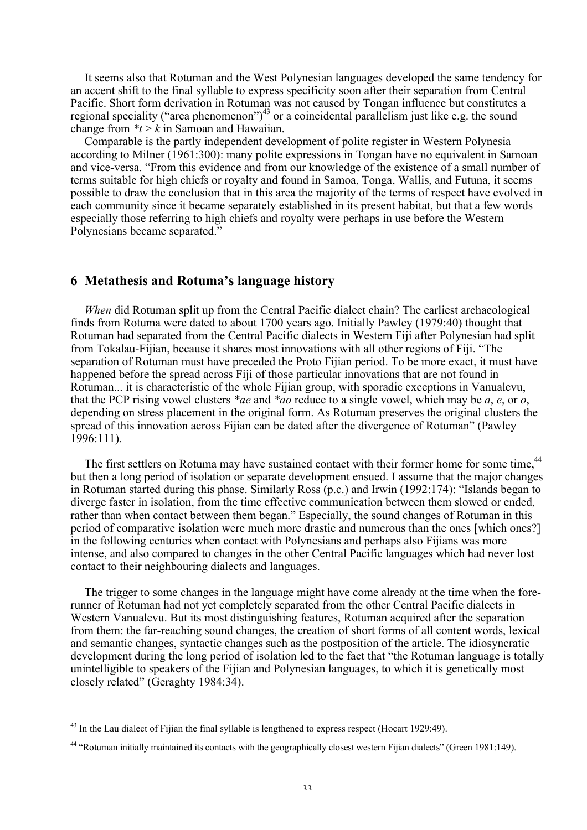It seems also that Rotuman and the West Polynesian languages developed the same tendency for an accent shift to the final syllable to express specificity soon after their separation from Central Pacific. Short form derivation in Rotuman was not caused by Tongan influence but constitutes a regional speciality ("area phenomenon")<sup>43</sup> or a coincidental parallelism just like e.g. the sound change from  $*_t > k$  in Samoan and Hawaiian.

Comparable is the partly independent development of polite register in Western Polynesia according to Milner (1961:300): many polite expressions in Tongan have no equivalent in Samoan and vice-versa. "From this evidence and from our knowledge of the existence of a small number of terms suitable for high chiefs or royalty and found in Samoa, Tonga, Wallis, and Futuna, it seems possible to draw the conclusion that in this area the majority of the terms of respect have evolved in each community since it became separately established in its present habitat, but that a few words especially those referring to high chiefs and royalty were perhaps in use before the Western Polynesians became separated."

### 6 Metathesis and Rotuma's language history

*When* did Rotuman split up from the Central Pacific dialect chain? The earliest archaeological finds from Rotuma were dated to about 1700 years ago. Initially Pawley (1979:40) thought that Rotuman had separated from the Central Pacific dialects in Western Fiji after Polynesian had split from Tokalau-Fijian, because it shares most innovations with all other regions of Fiji. "The separation of Rotuman must have preceded the Proto Fijian period. To be more exact, it must have happened before the spread across Fiji of those particular innovations that are not found in Rotuman... it is characteristic of the whole Fijian group, with sporadic exceptions in Vanualevu, that the PCP rising vowel clusters *\*ae* and *\*ao* reduce to a single vowel, which may be *a*, *e*, or *o*, depending on stress placement in the original form. As Rotuman preserves the original clusters the spread of this innovation across Fijian can be dated after the divergence of Rotuman" (Pawley 1996:111).

The first settlers on Rotuma may have sustained contact with their former home for some time,<sup>44</sup> but then a long period of isolation or separate development ensued. I assume that the major changes in Rotuman started during this phase. Similarly Ross (p.c.) and Irwin (1992:174): "Islands began to diverge faster in isolation, from the time effective communication between them slowed or ended, rather than when contact between them began." Especially, the sound changes of Rotuman in this period of comparative isolation were much more drastic and numerous than the ones [which ones?] in the following centuries when contact with Polynesians and perhaps also Fijians was more intense, and also compared to changes in the other Central Pacific languages which had never lost contact to their neighbouring dialects and languages.

The trigger to some changes in the language might have come already at the time when the forerunner of Rotuman had not yet completely separated from the other Central Pacific dialects in Western Vanualevu. But its most distinguishing features, Rotuman acquired after the separation from them: the far-reaching sound changes, the creation of short forms of all content words, lexical and semantic changes, syntactic changes such as the postposition of the article. The idiosyncratic development during the long period of isolation led to the fact that "the Rotuman language is totally unintelligible to speakers of the Fijian and Polynesian languages, to which it is genetically most closely related" (Geraghty 1984:34).

<sup>&</sup>lt;sup>43</sup> In the Lau dialect of Fijian the final syllable is lengthened to express respect (Hocart 1929:49).

<sup>&</sup>lt;sup>44</sup> "Rotuman initially maintained its contacts with the geographically closest western Fijian dialects" (Green 1981:149).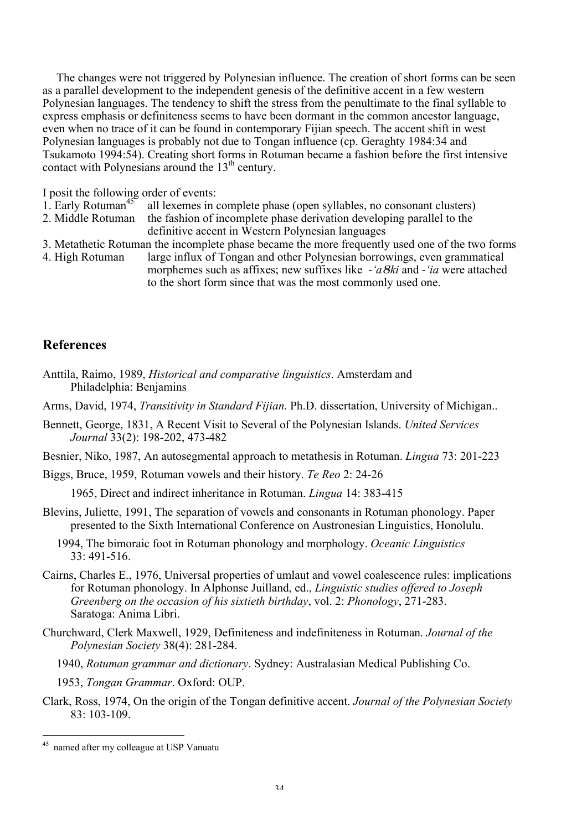The changes were not triggered by Polynesian influence. The creation of short forms can be seen as a parallel development to the independent genesis of the definitive accent in a few western Polynesian languages. The tendency to shift the stress from the penultimate to the final syllable to express emphasis or definiteness seems to have been dormant in the common ancestor language, even when no trace of it can be found in contemporary Fijian speech. The accent shift in west Polynesian languages is probably not due to Tongan influence (cp. Geraghty 1984:34 and Tsukamoto 1994:54). Creating short forms in Rotuman became a fashion before the first intensive contact with Polynesians around the  $13<sup>th</sup>$  century.

I posit the following order of events:<br>1. Early Rotuman<sup>45</sup> all lexemes in

- all lexemes in complete phase (open syllables, no consonant clusters)
- 2. Middle Rotuman the fashion of incomplete phase derivation developing parallel to the definitive accent in Western Polynesian languages
- 3. Metathetic Rotuman the incomplete phase became the more frequently used one of the two forms
- 4. High Rotuman large influx of Tongan and other Polynesian borrowings, even grammatical morphemes such as affixes; new suffixes like -*'a*8*ki* and -*'ia* were attached to the short form since that was the most commonly used one.

### References

- Anttila, Raimo, 1989, *Historical and comparative linguistics*. Amsterdam and Philadelphia: Benjamins
- Arms, David, 1974, *Transitivity in Standard Fijian*. Ph.D. dissertation, University of Michigan..
- Bennett, George, 1831, A Recent Visit to Several of the Polynesian Islands. *United Services Journal* 33(2): 198-202, 473-482
- Besnier, Niko, 1987, An autosegmental approach to metathesis in Rotuman. *Lingua* 73: 201-223
- Biggs, Bruce, 1959, Rotuman vowels and their history. *Te Reo* 2: 24-26

1965, Direct and indirect inheritance in Rotuman. *Lingua* 14: 383-415

- Blevins, Juliette, 1991, The separation of vowels and consonants in Rotuman phonology. Paper presented to the Sixth International Conference on Austronesian Linguistics, Honolulu.
	- 1994, The bimoraic foot in Rotuman phonology and morphology. *Oceanic Linguistics*  $33 \cdot 491 - 516$
- Cairns, Charles E., 1976, Universal properties of umlaut and vowel coalescence rules: implications for Rotuman phonology. In Alphonse Juilland, ed., *Linguistic studies offered to Joseph Greenberg on the occasion of his sixtieth birthday*, vol. 2: *Phonology*, 271-283. Saratoga: Anima Libri.
- Churchward, Clerk Maxwell, 1929, Definiteness and indefiniteness in Rotuman. *Journal of the Polynesian Society* 38(4): 281-284.

1940, *Rotuman grammar and dictionary*. Sydney: Australasian Medical Publishing Co.

1953, *Tongan Grammar*. Oxford: OUP.

Clark, Ross, 1974, On the origin of the Tongan definitive accent. *Journal of the Polynesian Society* 83: 103-109.

 <sup>45</sup> named after my colleague at USP Vanuatu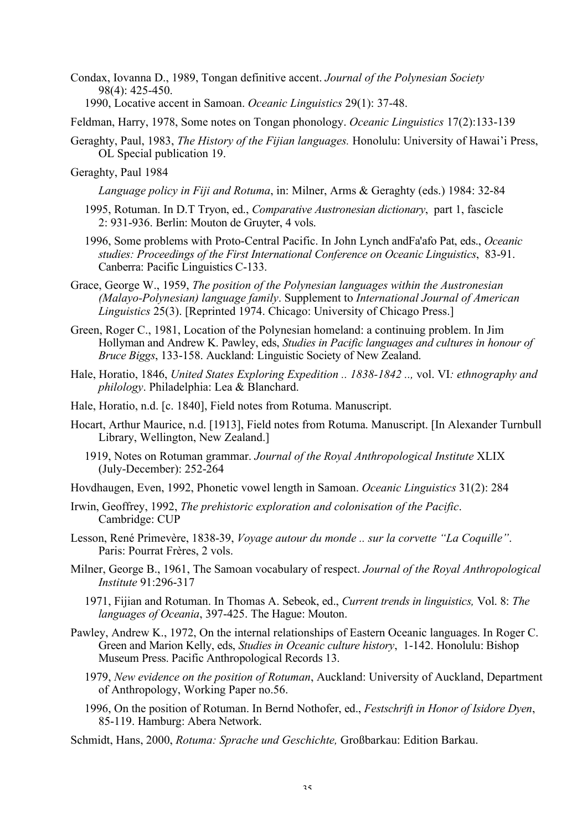Condax, Iovanna D., 1989, Tongan definitive accent. *Journal of the Polynesian Society* 98(4): 425-450.

1990, Locative accent in Samoan. *Oceanic Linguistics* 29(1): 37-48.

Feldman, Harry, 1978, Some notes on Tongan phonology. *Oceanic Linguistics* 17(2):133-139

- Geraghty, Paul, 1983, *The History of the Fijian languages.* Honolulu: University of Hawai'i Press, OL Special publication 19.
- Geraghty, Paul 1984

*Language policy in Fiji and Rotuma*, in: Milner, Arms & Geraghty (eds.) 1984: 32-84

- 1995, Rotuman. In D.T Tryon, ed., *Comparative Austronesian dictionary*, part 1, fascicle 2: 931-936. Berlin: Mouton de Gruyter, 4 vols.
- 1996, Some problems with Proto-Central Pacific. In John Lynch andFa'afo Pat, eds., *Oceanic studies: Proceedings of the First International Conference on Oceanic Linguistics*, 83-91. Canberra: Pacific Linguistics C-133.
- Grace, George W., 1959, *The position of the Polynesian languages within the Austronesian (Malayo-Polynesian) language family*. Supplement to *International Journal of American Linguistics* 25(3). [Reprinted 1974. Chicago: University of Chicago Press.]
- Green, Roger C., 1981, Location of the Polynesian homeland: a continuing problem. In Jim Hollyman and Andrew K. Pawley, eds, *Studies in Pacific languages and cultures in honour of Bruce Biggs*, 133-158. Auckland: Linguistic Society of New Zealand.
- Hale, Horatio, 1846, *United States Exploring Expedition .. 1838-1842 ..,* vol. VI*: ethnography and philology*. Philadelphia: Lea & Blanchard.
- Hale, Horatio, n.d. [c. 1840], Field notes from Rotuma. Manuscript.
- Hocart, Arthur Maurice, n.d. [1913], Field notes from Rotuma. Manuscript. [In Alexander Turnbull Library, Wellington, New Zealand.]
	- 1919, Notes on Rotuman grammar. *Journal of the Royal Anthropological Institute* XLIX (July-December): 252-264
- Hovdhaugen, Even, 1992, Phonetic vowel length in Samoan. *Oceanic Linguistics* 31(2): 284
- Irwin, Geoffrey, 1992, *The prehistoric exploration and colonisation of the Pacific*. Cambridge: CUP
- Lesson, René Primevère, 1838-39, *Voyage autour du monde .. sur la corvette "La Coquille"*. Paris: Pourrat Frères, 2 vols.
- Milner, George B., 1961, The Samoan vocabulary of respect. *Journal of the Royal Anthropological Institute* 91:296-317
	- 1971, Fijian and Rotuman. In Thomas A. Sebeok, ed., *Current trends in linguistics,* Vol. 8: *The languages of Oceania*, 397-425. The Hague: Mouton.
- Pawley, Andrew K., 1972, On the internal relationships of Eastern Oceanic languages. In Roger C. Green and Marion Kelly, eds, *Studies in Oceanic culture history*, 1-142. Honolulu: Bishop Museum Press. Pacific Anthropological Records 13.
	- 1979, *New evidence on the position of Rotuman*, Auckland: University of Auckland, Department of Anthropology, Working Paper no.56.
	- 1996, On the position of Rotuman. In Bernd Nothofer, ed., *Festschrift in Honor of Isidore Dyen*, 85-119. Hamburg: Abera Network.
- Schmidt, Hans, 2000, *Rotuma: Sprache und Geschichte,* Großbarkau: Edition Barkau.